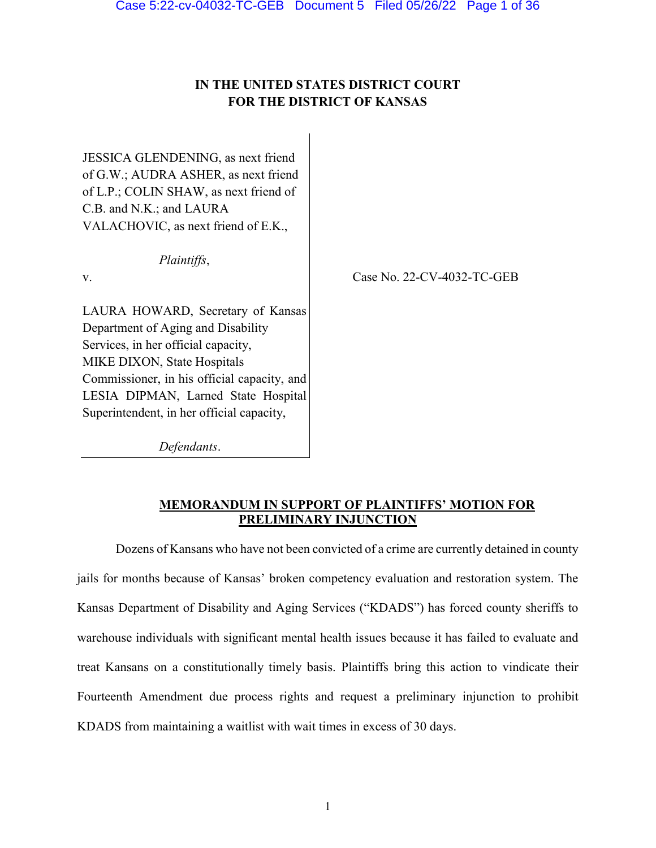# **IN THE UNITED STATES DISTRICT COURT FOR THE DISTRICT OF KANSAS**

JESSICA GLENDENING, as next friend of G.W.; AUDRA ASHER, as next friend of L.P.; COLIN SHAW, as next friend of C.B. and N.K.; and LAURA VALACHOVIC, as next friend of E.K.,

*Plaintiffs*,

v.

Case No. 22-CV-4032-TC-GEB

LAURA HOWARD, Secretary of Kansas Department of Aging and Disability Services, in her official capacity, MIKE DIXON, State Hospitals Commissioner, in his official capacity, and LESIA DIPMAN, Larned State Hospital Superintendent, in her official capacity,

*Defendants*.

## **MEMORANDUM IN SUPPORT OF PLAINTIFFS' MOTION FOR PRELIMINARY INJUNCTION**

Dozens of Kansans who have not been convicted of a crime are currently detained in county jails for months because of Kansas' broken competency evaluation and restoration system. The Kansas Department of Disability and Aging Services ("KDADS") has forced county sheriffs to warehouse individuals with significant mental health issues because it has failed to evaluate and treat Kansans on a constitutionally timely basis. Plaintiffs bring this action to vindicate their Fourteenth Amendment due process rights and request a preliminary injunction to prohibit KDADS from maintaining a waitlist with wait times in excess of 30 days.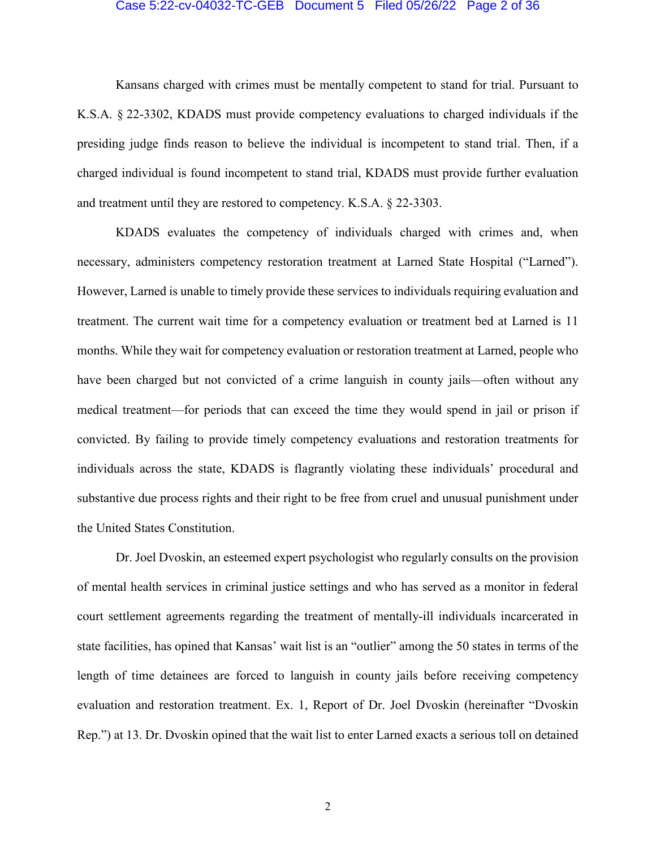#### Case 5:22-cv-04032-TC-GEB Document 5 Filed 05/26/22 Page 2 of 36

Kansans charged with crimes must be mentally competent to stand for trial. Pursuant to K.S.A. § 22-3302, KDADS must provide competency evaluations to charged individuals if the presiding judge finds reason to believe the individual is incompetent to stand trial. Then, if a charged individual is found incompetent to stand trial, KDADS must provide further evaluation and treatment until they are restored to competency. K.S.A. § 22-3303.

KDADS evaluates the competency of individuals charged with crimes and, when necessary, administers competency restoration treatment at Larned State Hospital ("Larned"). However, Larned is unable to timely provide these services to individuals requiring evaluation and treatment. The current wait time for a competency evaluation or treatment bed at Larned is 11 months. While they wait for competency evaluation or restoration treatment at Larned, people who have been charged but not convicted of a crime languish in county jails—often without any medical treatment—for periods that can exceed the time they would spend in jail or prison if convicted. By failing to provide timely competency evaluations and restoration treatments for individuals across the state, KDADS is flagrantly violating these individuals' procedural and substantive due process rights and their right to be free from cruel and unusual punishment under the United States Constitution.

Dr. Joel Dvoskin, an esteemed expert psychologist who regularly consults on the provision of mental health services in criminal justice settings and who has served as a monitor in federal court settlement agreements regarding the treatment of mentally-ill individuals incarcerated in state facilities, has opined that Kansas' wait list is an "outlier" among the 50 states in terms of the length of time detainees are forced to languish in county jails before receiving competency evaluation and restoration treatment. Ex. 1, Report of Dr. Joel Dvoskin (hereinafter "Dvoskin Rep.") at 13. Dr. Dvoskin opined that the wait list to enter Larned exacts a serious toll on detained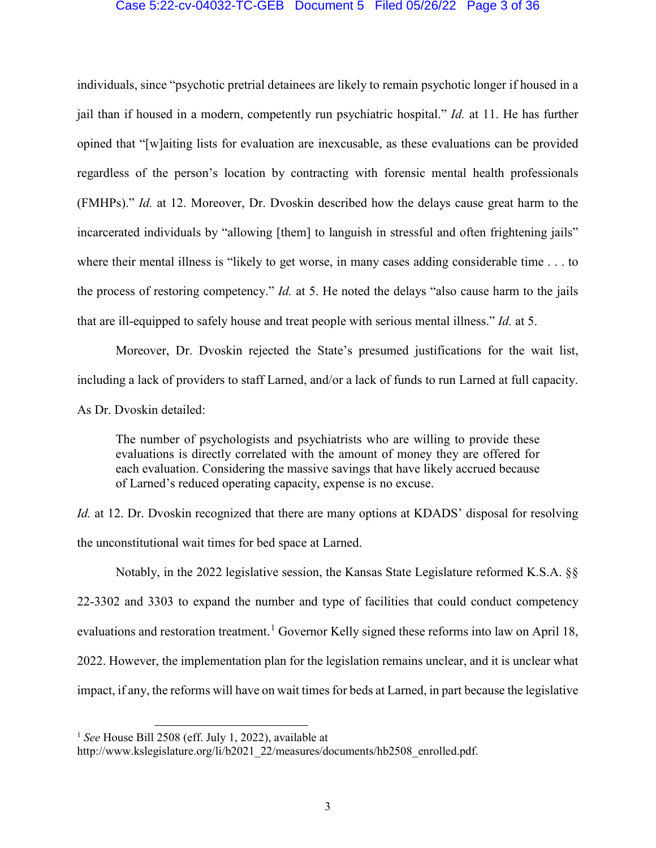### Case 5:22-cv-04032-TC-GEB Document 5 Filed 05/26/22 Page 3 of 36

individuals, since "psychotic pretrial detainees are likely to remain psychotic longer if housed in a jail than if housed in a modern, competently run psychiatric hospital." *Id.* at 11. He has further opined that "[w]aiting lists for evaluation are inexcusable, as these evaluations can be provided regardless of the person's location by contracting with forensic mental health professionals (FMHPs)." *Id.* at 12. Moreover, Dr. Dvoskin described how the delays cause great harm to the incarcerated individuals by "allowing [them] to languish in stressful and often frightening jails" where their mental illness is "likely to get worse, in many cases adding considerable time . . . to the process of restoring competency." *Id.* at 5. He noted the delays "also cause harm to the jails that are ill-equipped to safely house and treat people with serious mental illness." *Id.* at 5.

Moreover, Dr. Dvoskin rejected the State's presumed justifications for the wait list, including a lack of providers to staff Larned, and/or a lack of funds to run Larned at full capacity. As Dr. Dvoskin detailed:

The number of psychologists and psychiatrists who are willing to provide these evaluations is directly correlated with the amount of money they are offered for each evaluation. Considering the massive savings that have likely accrued because of Larned's reduced operating capacity, expense is no excuse.

*Id.* at 12. Dr. Dvoskin recognized that there are many options at KDADS' disposal for resolving the unconstitutional wait times for bed space at Larned.

Notably, in the 2022 legislative session, the Kansas State Legislature reformed K.S.A. §§ 22-3302 and 3303 to expand the number and type of facilities that could conduct competency evaluations and restoration treatment.<sup>[1](#page-2-0)</sup> Governor Kelly signed these reforms into law on April 18, 2022. However, the implementation plan for the legislation remains unclear, and it is unclear what impact, if any, the reforms will have on wait times for beds at Larned, in part because the legislative

<span id="page-2-0"></span> <sup>1</sup> *See* House Bill 2508 (eff. July 1, 2022), available at

http://www.kslegislature.org/li/b2021\_22/measures/documents/hb2508\_enrolled.pdf.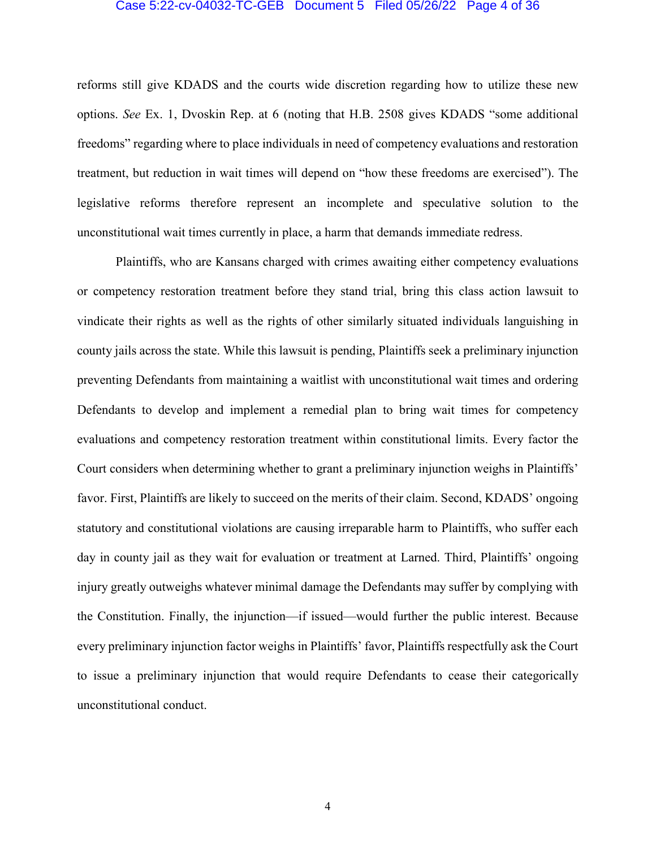#### Case 5:22-cv-04032-TC-GEB Document 5 Filed 05/26/22 Page 4 of 36

reforms still give KDADS and the courts wide discretion regarding how to utilize these new options. *See* Ex. 1, Dvoskin Rep. at 6 (noting that H.B. 2508 gives KDADS "some additional freedoms" regarding where to place individuals in need of competency evaluations and restoration treatment, but reduction in wait times will depend on "how these freedoms are exercised"). The legislative reforms therefore represent an incomplete and speculative solution to the unconstitutional wait times currently in place, a harm that demands immediate redress.

Plaintiffs, who are Kansans charged with crimes awaiting either competency evaluations or competency restoration treatment before they stand trial, bring this class action lawsuit to vindicate their rights as well as the rights of other similarly situated individuals languishing in county jails across the state. While this lawsuit is pending, Plaintiffs seek a preliminary injunction preventing Defendants from maintaining a waitlist with unconstitutional wait times and ordering Defendants to develop and implement a remedial plan to bring wait times for competency evaluations and competency restoration treatment within constitutional limits. Every factor the Court considers when determining whether to grant a preliminary injunction weighs in Plaintiffs' favor. First, Plaintiffs are likely to succeed on the merits of their claim. Second, KDADS' ongoing statutory and constitutional violations are causing irreparable harm to Plaintiffs, who suffer each day in county jail as they wait for evaluation or treatment at Larned. Third, Plaintiffs' ongoing injury greatly outweighs whatever minimal damage the Defendants may suffer by complying with the Constitution. Finally, the injunction—if issued—would further the public interest. Because every preliminary injunction factor weighs in Plaintiffs' favor, Plaintiffs respectfully ask the Court to issue a preliminary injunction that would require Defendants to cease their categorically unconstitutional conduct.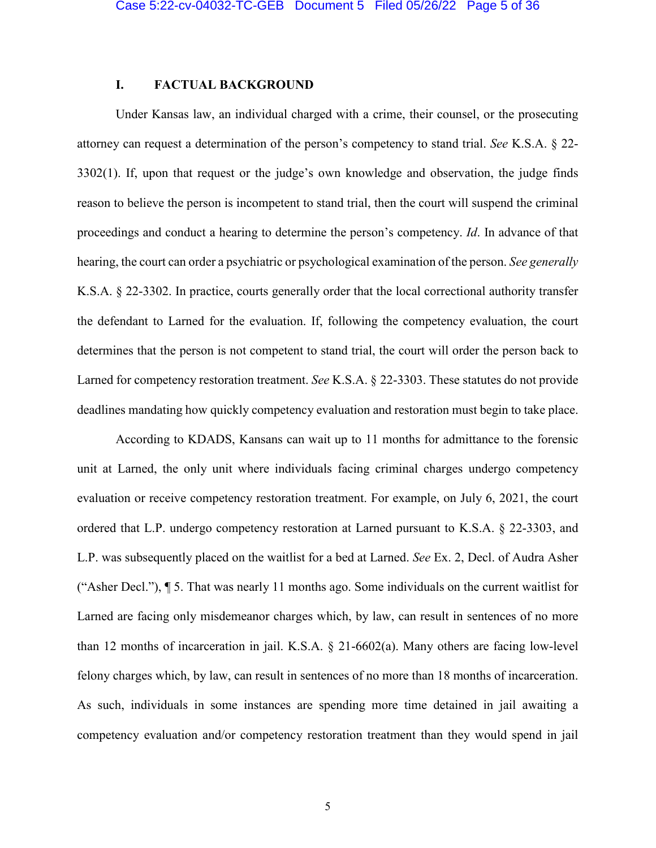## **I. FACTUAL BACKGROUND**

Under Kansas law, an individual charged with a crime, their counsel, or the prosecuting attorney can request a determination of the person's competency to stand trial. *See* K.S.A. § 22- 3302(1). If, upon that request or the judge's own knowledge and observation, the judge finds reason to believe the person is incompetent to stand trial, then the court will suspend the criminal proceedings and conduct a hearing to determine the person's competency. *Id*. In advance of that hearing, the court can order a psychiatric or psychological examination of the person. *See generally*  K.S.A. § 22-3302. In practice, courts generally order that the local correctional authority transfer the defendant to Larned for the evaluation. If, following the competency evaluation, the court determines that the person is not competent to stand trial, the court will order the person back to Larned for competency restoration treatment. *See* K.S.A. § 22-3303. These statutes do not provide deadlines mandating how quickly competency evaluation and restoration must begin to take place.

According to KDADS, Kansans can wait up to 11 months for admittance to the forensic unit at Larned, the only unit where individuals facing criminal charges undergo competency evaluation or receive competency restoration treatment. For example, on July 6, 2021, the court ordered that L.P. undergo competency restoration at Larned pursuant to K.S.A. § 22-3303, and L.P. was subsequently placed on the waitlist for a bed at Larned. *See* Ex. 2, Decl. of Audra Asher ("Asher Decl."), ¶ 5. That was nearly 11 months ago. Some individuals on the current waitlist for Larned are facing only misdemeanor charges which, by law, can result in sentences of no more than 12 months of incarceration in jail. K.S.A. § 21-6602(a). Many others are facing low-level felony charges which, by law, can result in sentences of no more than 18 months of incarceration. As such, individuals in some instances are spending more time detained in jail awaiting a competency evaluation and/or competency restoration treatment than they would spend in jail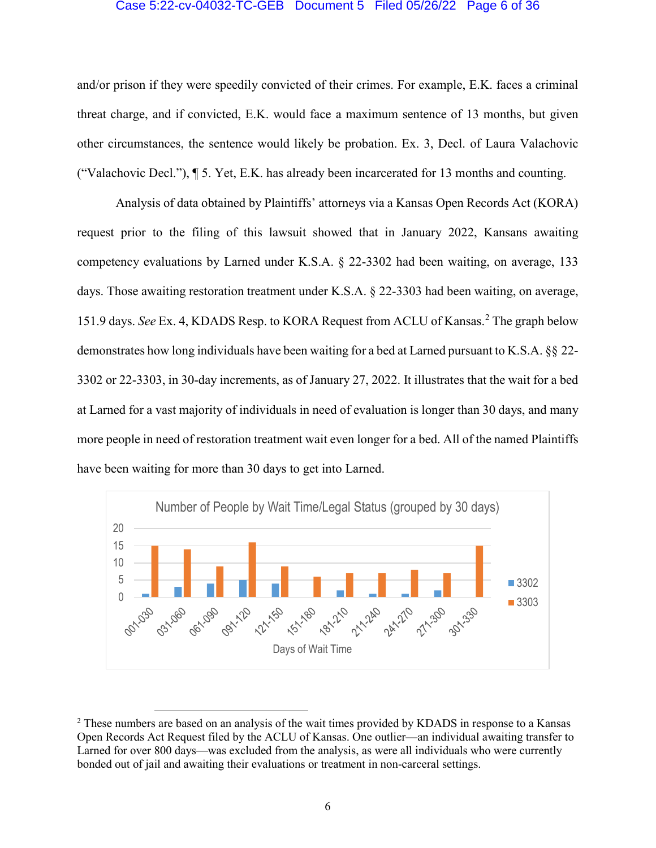#### Case 5:22-cv-04032-TC-GEB Document 5 Filed 05/26/22 Page 6 of 36

and/or prison if they were speedily convicted of their crimes. For example, E.K. faces a criminal threat charge, and if convicted, E.K. would face a maximum sentence of 13 months, but given other circumstances, the sentence would likely be probation. Ex. 3, Decl. of Laura Valachovic ("Valachovic Decl."),  $\P$  5. Yet, E.K. has already been incarcerated for 13 months and counting.

Analysis of data obtained by Plaintiffs' attorneys via a Kansas Open Records Act (KORA) request prior to the filing of this lawsuit showed that in January 2022, Kansans awaiting competency evaluations by Larned under K.S.A. § 22-3302 had been waiting, on average, 133 days. Those awaiting restoration treatment under K.S.A. § 22-3303 had been waiting, on average, 151.9 days. *See* Ex. 4, KDADS Resp. to KORA Request from ACLU of Kansas. [2](#page-5-0) The graph below demonstrates how long individuals have been waiting for a bed at Larned pursuant to K.S.A. §§ 22- 3302 or 22-3303, in 30-day increments, as of January 27, 2022. It illustrates that the wait for a bed at Larned for a vast majority of individuals in need of evaluation is longer than 30 days, and many more people in need of restoration treatment wait even longer for a bed. All of the named Plaintiffs have been waiting for more than 30 days to get into Larned.



<span id="page-5-0"></span><sup>&</sup>lt;sup>2</sup> These numbers are based on an analysis of the wait times provided by KDADS in response to a Kansas Open Records Act Request filed by the ACLU of Kansas. One outlier—an individual awaiting transfer to Larned for over 800 days—was excluded from the analysis, as were all individuals who were currently bonded out of jail and awaiting their evaluations or treatment in non-carceral settings.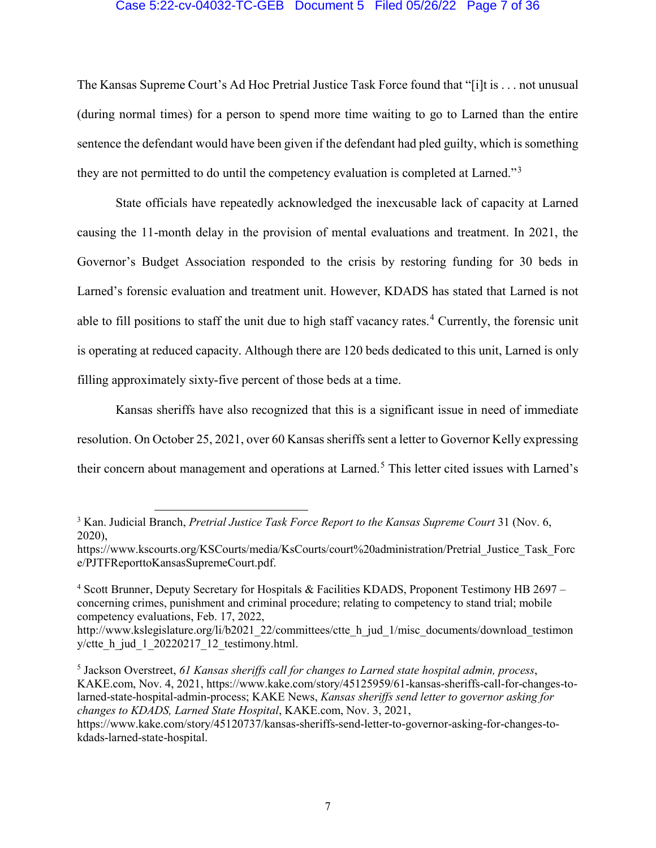## Case 5:22-cv-04032-TC-GEB Document 5 Filed 05/26/22 Page 7 of 36

The Kansas Supreme Court's Ad Hoc Pretrial Justice Task Force found that "[i]t is . . . not unusual (during normal times) for a person to spend more time waiting to go to Larned than the entire sentence the defendant would have been given if the defendant had pled guilty, which is something they are not permitted to do until the competency evaluation is completed at Larned."[3](#page-6-0)

State officials have repeatedly acknowledged the inexcusable lack of capacity at Larned causing the 11-month delay in the provision of mental evaluations and treatment. In 2021, the Governor's Budget Association responded to the crisis by restoring funding for 30 beds in Larned's forensic evaluation and treatment unit. However, KDADS has stated that Larned is not able to fill positions to staff the unit due to high staff vacancy rates.<sup>[4](#page-6-1)</sup> Currently, the forensic unit is operating at reduced capacity. Although there are 120 beds dedicated to this unit, Larned is only filling approximately sixty-five percent of those beds at a time.

Kansas sheriffs have also recognized that this is a significant issue in need of immediate resolution. On October 25, 2021, over 60 Kansas sheriffs sent a letter to Governor Kelly expressing their concern about management and operations at Larned. [5](#page-6-2) This letter cited issues with Larned's

<span id="page-6-0"></span> <sup>3</sup> Kan. Judicial Branch, *Pretrial Justice Task Force Report to the Kansas Supreme Court* <sup>31</sup> (Nov. 6, 2020),

https://www.kscourts.org/KSCourts/media/KsCourts/court%20administration/Pretrial\_Justice\_Task\_Forc e/PJTFReporttoKansasSupremeCourt.pdf.

<span id="page-6-1"></span><sup>4</sup> Scott Brunner, Deputy Secretary for Hospitals & Facilities KDADS, Proponent Testimony HB 2697 – concerning crimes, punishment and criminal procedure; relating to competency to stand trial; mobile competency evaluations, Feb. 17, 2022,

http://www.kslegislature.org/li/b2021\_22/committees/ctte\_h\_jud\_1/misc\_documents/download\_testimon y/ctte  $h$  jud 1 20220217 12 testimony.html.

<span id="page-6-2"></span><sup>5</sup> Jackson Overstreet, *61 Kansas sheriffs call for changes to Larned state hospital admin, process*, KAKE.com, Nov. 4, 2021, https://www.kake.com/story/45125959/61-kansas-sheriffs-call-for-changes-tolarned-state-hospital-admin-process; KAKE News, *Kansas sheriffs send letter to governor asking for changes to KDADS, Larned State Hospital*, KAKE.com, Nov. 3, 2021,

https://www.kake.com/story/45120737/kansas-sheriffs-send-letter-to-governor-asking-for-changes-tokdads-larned-state-hospital.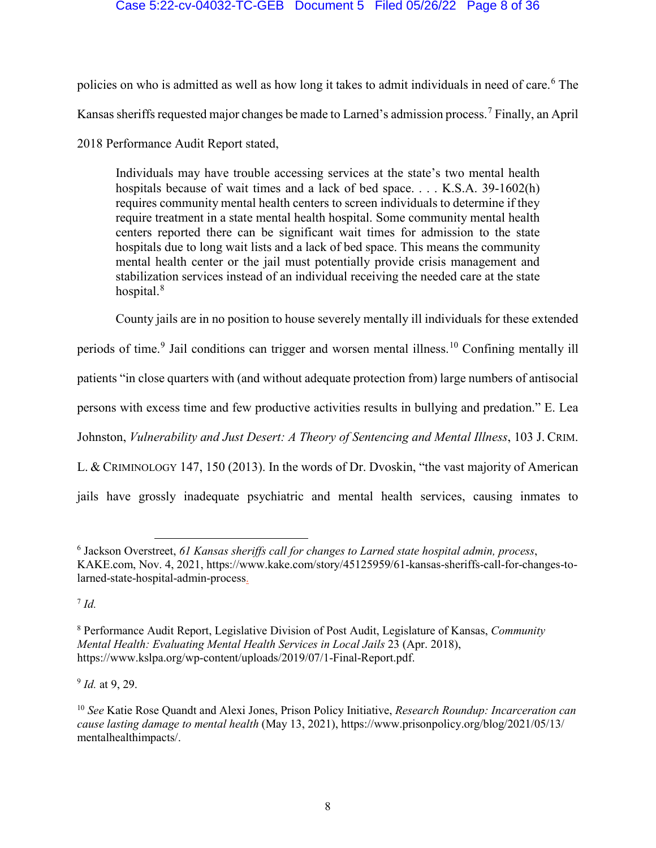## Case 5:22-cv-04032-TC-GEB Document 5 Filed 05/26/22 Page 8 of 36

policies on who is admitted as well as how long it takes to admit individuals in need of care. [6](#page-7-0) The Kansas sheriffs requested major changes be made to Larned's admission process.[7](#page-7-1) Finally, an April 2018 Performance Audit Report stated,

Individuals may have trouble accessing services at the state's two mental health hospitals because of wait times and a lack of bed space. . . . K.S.A. 39-1602(h) requires community mental health centers to screen individuals to determine if they require treatment in a state mental health hospital. Some community mental health centers reported there can be significant wait times for admission to the state hospitals due to long wait lists and a lack of bed space. This means the community mental health center or the jail must potentially provide crisis management and stabilization services instead of an individual receiving the needed care at the state hospital.<sup>[8](#page-7-2)</sup>

County jails are in no position to house severely mentally ill individuals for these extended

periods of time.[9](#page-7-3) Jail conditions can trigger and worsen mental illness.[10](#page-7-4) Confining mentally ill

patients "in close quarters with (and without adequate protection from) large numbers of antisocial

persons with excess time and few productive activities results in bullying and predation." E. Lea

Johnston, *Vulnerability and Just Desert: A Theory of Sentencing and Mental Illness*, 103 J. CRIM.

L. & CRIMINOLOGY 147, 150 (2013). In the words of Dr. Dvoskin, "the vast majority of American

jails have grossly inadequate psychiatric and mental health services, causing inmates to

<span id="page-7-1"></span><sup>7</sup> *Id.*

<span id="page-7-3"></span><sup>9</sup> *Id.* at 9, 29.

<span id="page-7-0"></span> <sup>6</sup> Jackson Overstreet, *61 Kansas sheriffs call for changes to Larned state hospital admin, process*, KAKE.com, Nov. 4, 2021, https://www.kake.com/story/45125959/61-kansas-sheriffs-call-for-changes-tolarned-state-hospital-admin-process.

<span id="page-7-2"></span><sup>8</sup> Performance Audit Report, Legislative Division of Post Audit, Legislature of Kansas, *Community Mental Health: Evaluating Mental Health Services in Local Jails* 23 (Apr. 2018), https://www.kslpa.org/wp-content/uploads/2019/07/1-Final-Report.pdf.

<span id="page-7-4"></span><sup>10</sup> *See* Katie Rose Quandt and Alexi Jones, Prison Policy Initiative, *Research Roundup: Incarceration can cause lasting damage to mental health* (May 13, 2021), https://www.prisonpolicy.org/blog/2021/05/13/ mentalhealthimpacts/.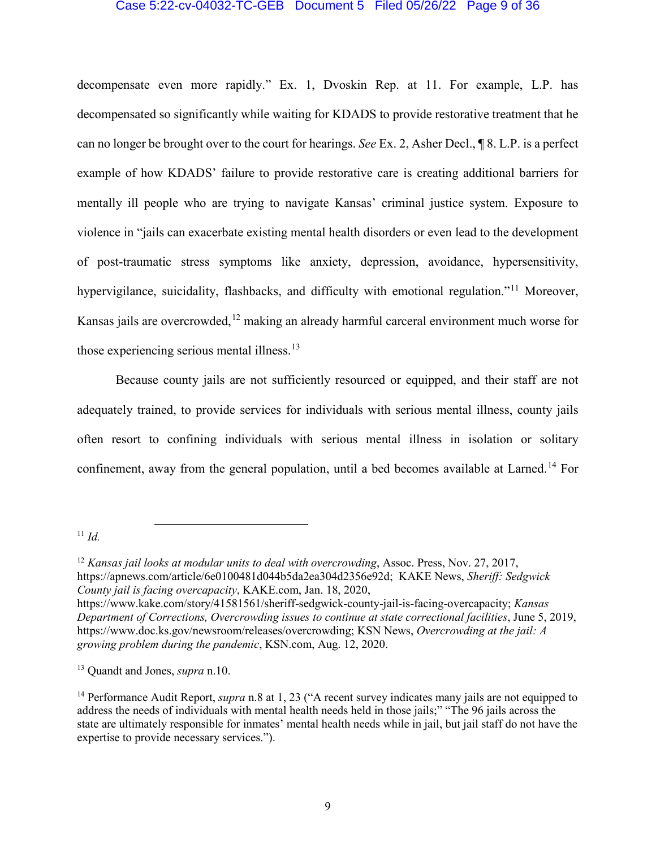## Case 5:22-cv-04032-TC-GEB Document 5 Filed 05/26/22 Page 9 of 36

decompensate even more rapidly." Ex. 1, Dvoskin Rep. at 11. For example, L.P. has decompensated so significantly while waiting for KDADS to provide restorative treatment that he can no longer be brought over to the court for hearings. *See* Ex. 2, Asher Decl., ¶ 8. L.P. is a perfect example of how KDADS' failure to provide restorative care is creating additional barriers for mentally ill people who are trying to navigate Kansas' criminal justice system. Exposure to violence in "jails can exacerbate existing mental health disorders or even lead to the development of post-traumatic stress symptoms like anxiety, depression, avoidance, hypersensitivity, hypervigilance, suicidality, flashbacks, and difficulty with emotional regulation."<sup>[11](#page-8-0)</sup> Moreover, Kansas jails are overcrowded,<sup>[12](#page-8-1)</sup> making an already harmful carceral environment much worse for those experiencing serious mental illness.<sup>[13](#page-8-2)</sup>

Because county jails are not sufficiently resourced or equipped, and their staff are not adequately trained, to provide services for individuals with serious mental illness, county jails often resort to confining individuals with serious mental illness in isolation or solitary confinement, away from the general population, until a bed becomes available at Larned.<sup>[14](#page-8-3)</sup> For

<span id="page-8-0"></span>11 *Id.*

<span id="page-8-1"></span><sup>&</sup>lt;sup>12</sup> *Kansas jail looks at modular units to deal with overcrowding*, Assoc. Press, Nov. 27, 2017, https://apnews.com/article/6e0100481d044b5da2ea304d2356e92d; KAKE News, *Sheriff: Sedgwick County jail is facing overcapacity*, KAKE.com, Jan. 18, 2020,

https://www.kake.com/story/41581561/sheriff-sedgwick-county-jail-is-facing-overcapacity; *Kansas Department of Corrections, Overcrowding issues to continue at state correctional facilities*, June 5, 2019, https://www.doc.ks.gov/newsroom/releases/overcrowding; KSN News, *Overcrowding at the jail: A growing problem during the pandemic*, KSN.com, Aug. 12, 2020.

<span id="page-8-2"></span><sup>13</sup> Quandt and Jones, *supra* n.10.

<span id="page-8-3"></span><sup>&</sup>lt;sup>14</sup> Performance Audit Report, *supra* n.8 at 1, 23 ("A recent survey indicates many jails are not equipped to address the needs of individuals with mental health needs held in those jails;" "The 96 jails across the state are ultimately responsible for inmates' mental health needs while in jail, but jail staff do not have the expertise to provide necessary services.").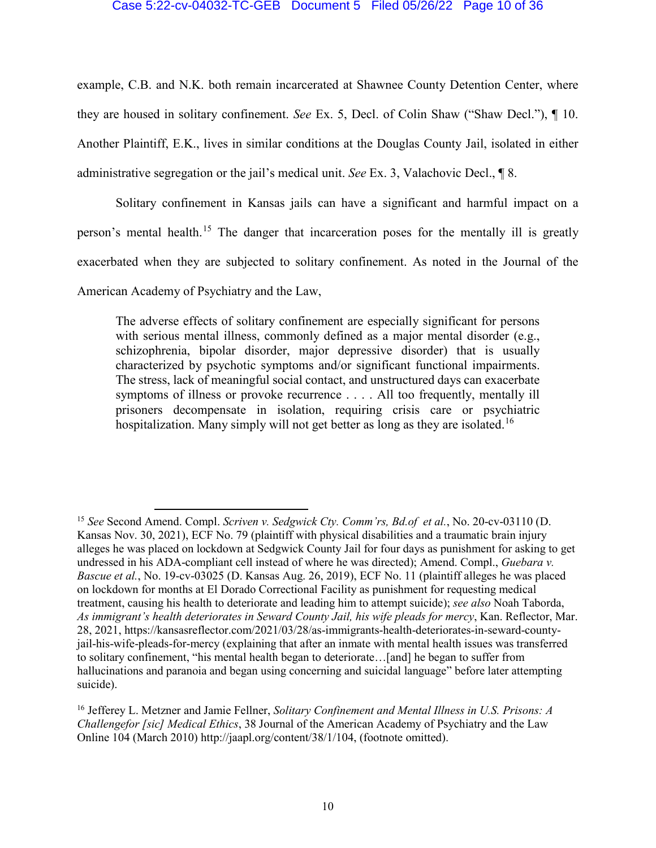## Case 5:22-cv-04032-TC-GEB Document 5 Filed 05/26/22 Page 10 of 36

example, C.B. and N.K. both remain incarcerated at Shawnee County Detention Center, where they are housed in solitary confinement. *See* Ex. 5, Decl. of Colin Shaw ("Shaw Decl."), ¶ 10. Another Plaintiff, E.K., lives in similar conditions at the Douglas County Jail, isolated in either administrative segregation or the jail's medical unit. *See* Ex. 3, Valachovic Decl., ¶ 8.

Solitary confinement in Kansas jails can have a significant and harmful impact on a person's mental health.[15](#page-9-0) The danger that incarceration poses for the mentally ill is greatly exacerbated when they are subjected to solitary confinement. As noted in the Journal of the American Academy of Psychiatry and the Law,

The adverse effects of solitary confinement are especially significant for persons with serious mental illness, commonly defined as a major mental disorder (e.g., schizophrenia, bipolar disorder, major depressive disorder) that is usually characterized by psychotic symptoms and/or significant functional impairments. The stress, lack of meaningful social contact, and unstructured days can exacerbate symptoms of illness or provoke recurrence .... All too frequently, mentally ill prisoners decompensate in isolation, requiring crisis care or psychiatric hospitalization. Many simply will not get better as long as they are isolated.<sup>[16](#page-9-1)</sup>

<span id="page-9-0"></span> <sup>15</sup> *See* Second Amend. Compl. *Scriven v. Sedgwick Cty. Comm'rs, Bd.of et al.*, No. 20-cv-03110 (D. Kansas Nov. 30, 2021), ECF No. 79 (plaintiff with physical disabilities and a traumatic brain injury alleges he was placed on lockdown at Sedgwick County Jail for four days as punishment for asking to get undressed in his ADA-compliant cell instead of where he was directed); Amend. Compl., *Guebara v. Bascue et al.*, No. 19-cv-03025 (D. Kansas Aug. 26, 2019), ECF No. 11 (plaintiff alleges he was placed on lockdown for months at El Dorado Correctional Facility as punishment for requesting medical treatment, causing his health to deteriorate and leading him to attempt suicide); *see also* Noah Taborda, *As immigrant's health deteriorates in Seward County Jail, his wife pleads for mercy*, Kan. Reflector, Mar. 28, 2021, https://kansasreflector.com/2021/03/28/as-immigrants-health-deteriorates-in-seward-countyjail-his-wife-pleads-for-mercy (explaining that after an inmate with mental health issues was transferred to solitary confinement, "his mental health began to deteriorate…[and] he began to suffer from hallucinations and paranoia and began using concerning and suicidal language" before later attempting suicide).

<span id="page-9-1"></span><sup>16</sup> Jefferey L. Metzner and Jamie Fellner, *Solitary Confinement and Mental Illness in U.S. Prisons: A Challengefor [sic] Medical Ethics*, 38 Journal of the American Academy of Psychiatry and the Law Online 104 (March 2010) http://jaapl.org/content/38/1/104, (footnote omitted).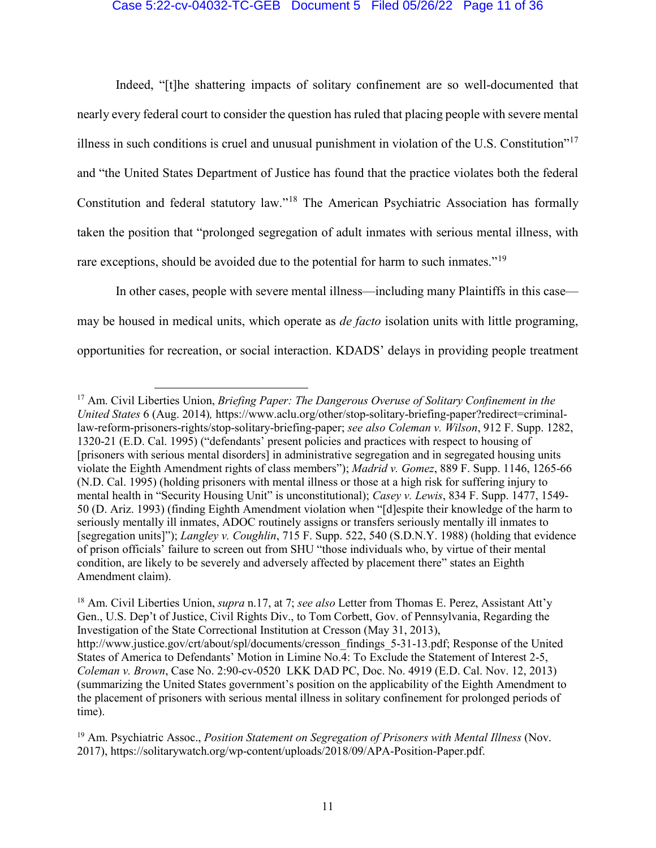## Case 5:22-cv-04032-TC-GEB Document 5 Filed 05/26/22 Page 11 of 36

Indeed, "[t]he shattering impacts of solitary confinement are so well-documented that nearly every federal court to consider the question has ruled that placing people with severe mental illness in such conditions is cruel and unusual punishment in violation of the U.S. Constitution"[17](#page-10-0) and "the United States Department of Justice has found that the practice violates both the federal Constitution and federal statutory law."[18](#page-10-1) The American Psychiatric Association has formally taken the position that "prolonged segregation of adult inmates with serious mental illness, with rare exceptions, should be avoided due to the potential for harm to such inmates."<sup>[19](#page-10-2)</sup>

In other cases, people with severe mental illness—including many Plaintiffs in this case may be housed in medical units, which operate as *de facto* isolation units with little programing, opportunities for recreation, or social interaction. KDADS' delays in providing people treatment

<span id="page-10-0"></span> <sup>17</sup> Am. Civil Liberties Union, *Briefing Paper: The Dangerous Overuse of Solitary Confinement in the United States* 6 (Aug. 2014)*,* https://www.aclu.org/other/stop-solitary-briefing-paper?redirect=criminallaw-reform-prisoners-rights/stop-solitary-briefing-paper; *see also Coleman v. Wilson*, 912 F. Supp. 1282, 1320-21 (E.D. Cal. 1995) ("defendants' present policies and practices with respect to housing of [prisoners with serious mental disorders] in administrative segregation and in segregated housing units violate the Eighth Amendment rights of class members"); *Madrid v. Gomez*, 889 F. Supp. 1146, 1265-66 (N.D. Cal. 1995) (holding prisoners with mental illness or those at a high risk for suffering injury to mental health in "Security Housing Unit" is unconstitutional); *Casey v. Lewis*, 834 F. Supp. 1477, 1549- 50 (D. Ariz. 1993) (finding Eighth Amendment violation when "[d]espite their knowledge of the harm to seriously mentally ill inmates, ADOC routinely assigns or transfers seriously mentally ill inmates to [segregation units]"); *Langley v. Coughlin*, 715 F. Supp. 522, 540 (S.D.N.Y. 1988) (holding that evidence of prison officials' failure to screen out from SHU "those individuals who, by virtue of their mental condition, are likely to be severely and adversely affected by placement there" states an Eighth Amendment claim).

<span id="page-10-1"></span><sup>18</sup> Am. Civil Liberties Union, *supra* n.17, at 7; *see also* Letter from Thomas E. Perez, Assistant Att'y Gen., U.S. Dep't of Justice, Civil Rights Div., to Tom Corbett, Gov. of Pennsylvania, Regarding the Investigation of the State Correctional Institution at Cresson (May 31, 2013), http://www.justice.gov/crt/about/spl/documents/cresson\_findings\_5-31-13.pdf; Response of the United States of America to Defendants' Motion in Limine No.4: To Exclude the Statement of Interest 2-5, *Coleman v. Brown*, Case No. 2:90-cv-0520 LKK DAD PC, Doc. No. 4919 (E.D. Cal. Nov. 12, 2013) (summarizing the United States government's position on the applicability of the Eighth Amendment to the placement of prisoners with serious mental illness in solitary confinement for prolonged periods of time).

<span id="page-10-2"></span><sup>19</sup> Am. Psychiatric Assoc., *Position Statement on Segregation of Prisoners with Mental Illness* (Nov. 2017), https://solitarywatch.org/wp-content/uploads/2018/09/APA-Position-Paper.pdf.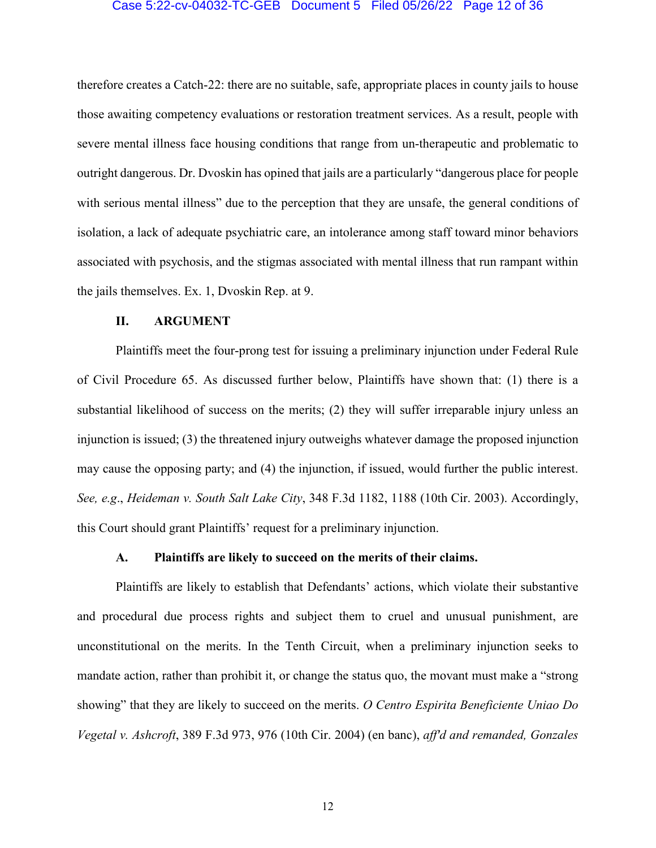#### Case 5:22-cv-04032-TC-GEB Document 5 Filed 05/26/22 Page 12 of 36

therefore creates a Catch-22: there are no suitable, safe, appropriate places in county jails to house those awaiting competency evaluations or restoration treatment services. As a result, people with severe mental illness face housing conditions that range from un-therapeutic and problematic to outright dangerous. Dr. Dvoskin has opined that jails are a particularly "dangerous place for people with serious mental illness" due to the perception that they are unsafe, the general conditions of isolation, a lack of adequate psychiatric care, an intolerance among staff toward minor behaviors associated with psychosis, and the stigmas associated with mental illness that run rampant within the jails themselves. Ex. 1, Dvoskin Rep. at 9.

## **II. ARGUMENT**

Plaintiffs meet the four-prong test for issuing a preliminary injunction under Federal Rule of Civil Procedure 65. As discussed further below, Plaintiffs have shown that: (1) there is a substantial likelihood of success on the merits; (2) they will suffer irreparable injury unless an injunction is issued; (3) the threatened injury outweighs whatever damage the proposed injunction may cause the opposing party; and (4) the injunction, if issued, would further the public interest. *See, e.g*., *Heideman v. South Salt Lake City*, 348 F.3d 1182, 1188 (10th Cir. 2003). Accordingly, this Court should grant Plaintiffs' request for a preliminary injunction.

## **A. Plaintiffs are likely to succeed on the merits of their claims.**

Plaintiffs are likely to establish that Defendants' actions, which violate their substantive and procedural due process rights and subject them to cruel and unusual punishment, are unconstitutional on the merits. In the Tenth Circuit, when a preliminary injunction seeks to mandate action, rather than prohibit it, or change the status quo, the movant must make a "strong showing" that they are likely to succeed on the merits. *O Centro Espirita Beneficiente Uniao Do Vegetal v. Ashcroft*, 389 F.3d 973, 976 (10th Cir. 2004) (en banc), *aff'd and remanded, Gonzales*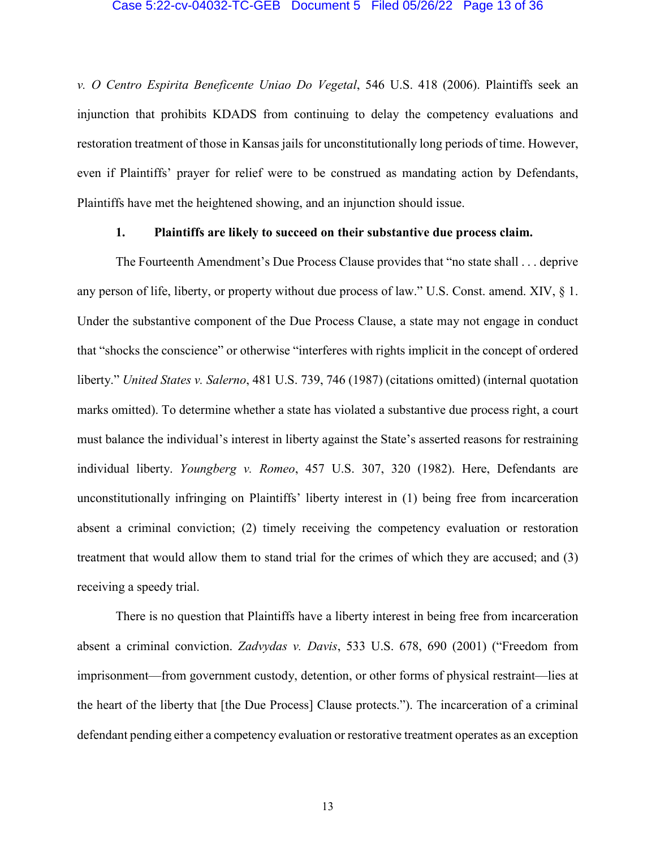#### Case 5:22-cv-04032-TC-GEB Document 5 Filed 05/26/22 Page 13 of 36

*v. O Centro Espirita Beneficente Uniao Do Vegetal*, 546 U.S. 418 (2006). Plaintiffs seek an injunction that prohibits KDADS from continuing to delay the competency evaluations and restoration treatment of those in Kansas jails for unconstitutionally long periods of time. However, even if Plaintiffs' prayer for relief were to be construed as mandating action by Defendants, Plaintiffs have met the heightened showing, and an injunction should issue.

## **1. Plaintiffs are likely to succeed on their substantive due process claim.**

The Fourteenth Amendment's Due Process Clause provides that "no state shall . . . deprive any person of life, liberty, or property without due process of law." U.S. Const. amend. XIV, § 1. Under the substantive component of the Due Process Clause, a state may not engage in conduct that "shocks the conscience" or otherwise "interferes with rights implicit in the concept of ordered liberty." *United States v. Salerno*, 481 U.S. 739, 746 (1987) (citations omitted) (internal quotation marks omitted). To determine whether a state has violated a substantive due process right, a court must balance the individual's interest in liberty against the State's asserted reasons for restraining individual liberty. *Youngberg v. Romeo*, 457 U.S. 307, 320 (1982). Here, Defendants are unconstitutionally infringing on Plaintiffs' liberty interest in (1) being free from incarceration absent a criminal conviction; (2) timely receiving the competency evaluation or restoration treatment that would allow them to stand trial for the crimes of which they are accused; and (3) receiving a speedy trial.

There is no question that Plaintiffs have a liberty interest in being free from incarceration absent a criminal conviction. *Zadvydas v. Davis*, 533 U.S. 678, 690 (2001) ("Freedom from imprisonment—from government custody, detention, or other forms of physical restraint—lies at the heart of the liberty that [the Due Process] Clause protects."). The incarceration of a criminal defendant pending either a competency evaluation or restorative treatment operates as an exception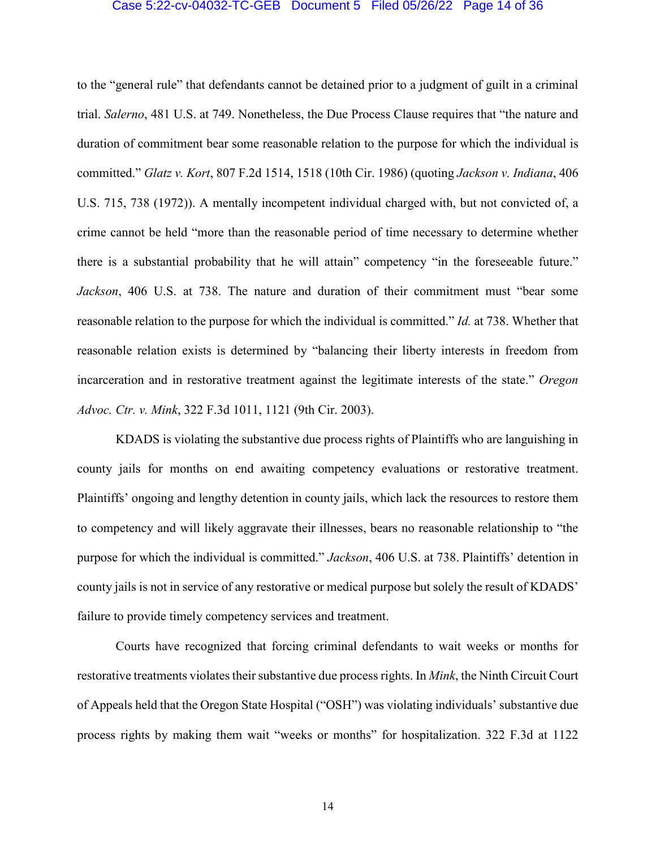#### Case 5:22-cv-04032-TC-GEB Document 5 Filed 05/26/22 Page 14 of 36

to the "general rule" that defendants cannot be detained prior to a judgment of guilt in a criminal trial. *Salerno*, 481 U.S. at 749. Nonetheless, the Due Process Clause requires that "the nature and duration of commitment bear some reasonable relation to the purpose for which the individual is committed." *Glatz v. Kort*, 807 F.2d 1514, 1518 (10th Cir. 1986) (quoting *Jackson v. Indiana*, 406 U.S. 715, 738 (1972)). A mentally incompetent individual charged with, but not convicted of, a crime cannot be held "more than the reasonable period of time necessary to determine whether there is a substantial probability that he will attain" competency "in the foreseeable future." *Jackson*, 406 U.S. at 738. The nature and duration of their commitment must "bear some reasonable relation to the purpose for which the individual is committed." *Id.* at 738. Whether that reasonable relation exists is determined by "balancing their liberty interests in freedom from incarceration and in restorative treatment against the legitimate interests of the state." *Oregon Advoc. Ctr. v. Mink*, 322 F.3d 1011, 1121 (9th Cir. 2003).

KDADS is violating the substantive due process rights of Plaintiffs who are languishing in county jails for months on end awaiting competency evaluations or restorative treatment. Plaintiffs' ongoing and lengthy detention in county jails, which lack the resources to restore them to competency and will likely aggravate their illnesses, bears no reasonable relationship to "the purpose for which the individual is committed." *Jackson*, 406 U.S. at 738. Plaintiffs' detention in county jails is not in service of any restorative or medical purpose but solely the result of KDADS' failure to provide timely competency services and treatment.

Courts have recognized that forcing criminal defendants to wait weeks or months for restorative treatments violates their substantive due process rights. In *Mink*, the Ninth Circuit Court of Appeals held that the Oregon State Hospital ("OSH") was violating individuals' substantive due process rights by making them wait "weeks or months" for hospitalization. 322 F.3d at 1122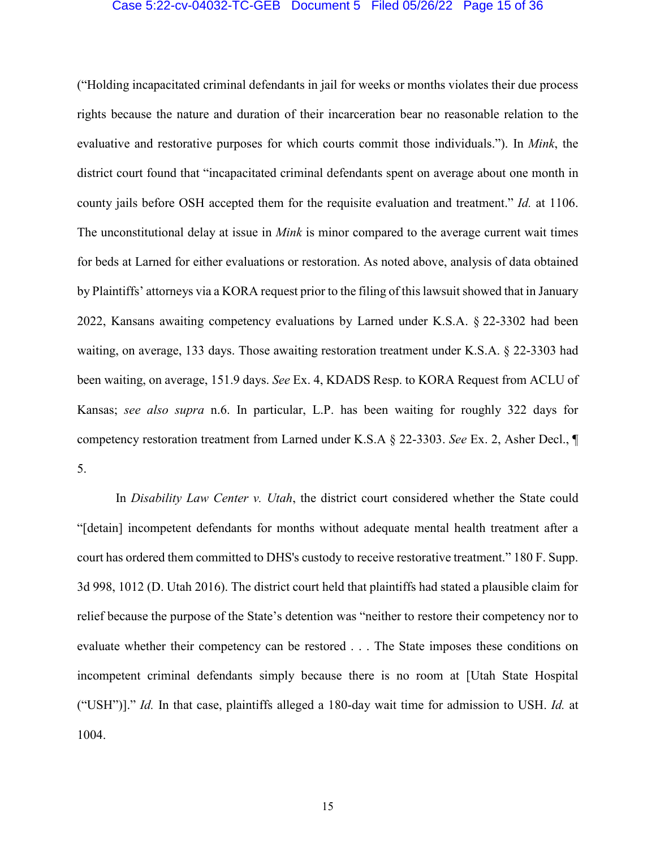#### Case 5:22-cv-04032-TC-GEB Document 5 Filed 05/26/22 Page 15 of 36

("Holding incapacitated criminal defendants in jail for weeks or months violates their due process rights because the nature and duration of their incarceration bear no reasonable relation to the evaluative and restorative purposes for which courts commit those individuals."). In *Mink*, the district court found that "incapacitated criminal defendants spent on average about one month in county jails before OSH accepted them for the requisite evaluation and treatment." *Id.* at 1106. The unconstitutional delay at issue in *Mink* is minor compared to the average current wait times for beds at Larned for either evaluations or restoration. As noted above, analysis of data obtained by Plaintiffs' attorneys via a KORA request prior to the filing of this lawsuit showed that in January 2022, Kansans awaiting competency evaluations by Larned under K.S.A. § 22-3302 had been waiting, on average, 133 days. Those awaiting restoration treatment under K.S.A. § 22-3303 had been waiting, on average, 151.9 days. *See* Ex. 4, KDADS Resp. to KORA Request from ACLU of Kansas; *see also supra* n.6. In particular, L.P. has been waiting for roughly 322 days for competency restoration treatment from Larned under K.S.A § 22-3303. *See* Ex. 2, Asher Decl., ¶ 5.

In *Disability Law Center v. Utah*, the district court considered whether the State could "[detain] incompetent defendants for months without adequate mental health treatment after a court has ordered them committed to DHS's custody to receive restorative treatment." 180 F. Supp. 3d 998, 1012 (D. Utah 2016). The district court held that plaintiffs had stated a plausible claim for relief because the purpose of the State's detention was "neither to restore their competency nor to evaluate whether their competency can be restored . . . The State imposes these conditions on incompetent criminal defendants simply because there is no room at [Utah State Hospital ("USH")]." *Id.* In that case, plaintiffs alleged a 180-day wait time for admission to USH. *Id.* at 1004.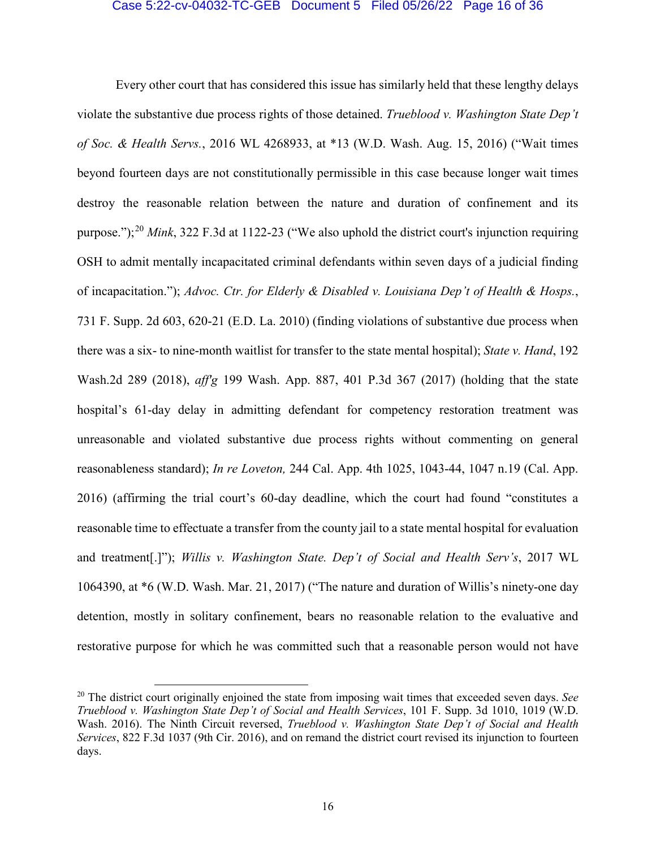## Case 5:22-cv-04032-TC-GEB Document 5 Filed 05/26/22 Page 16 of 36

Every other court that has considered this issue has similarly held that these lengthy delays violate the substantive due process rights of those detained. *Trueblood v. Washington State Dep't of Soc. & Health Servs.*, 2016 WL 4268933, at \*13 (W.D. Wash. Aug. 15, 2016) ("Wait times beyond fourteen days are not constitutionally permissible in this case because longer wait times destroy the reasonable relation between the nature and duration of confinement and its purpose."); [20](#page-15-0) *Mink*, 322 F.3d at 1122-23 ("We also uphold the district court's injunction requiring OSH to admit mentally incapacitated criminal defendants within seven days of a judicial finding of incapacitation."); *Advoc. Ctr. for Elderly & Disabled v. Louisiana Dep't of Health & Hosps.*, 731 F. Supp. 2d 603, 620-21 (E.D. La. 2010) (finding violations of substantive due process when there was a six- to nine-month waitlist for transfer to the state mental hospital); *State v. Hand*, 192 Wash.2d 289 (2018), *aff'g* 199 Wash. App. 887, 401 P.3d 367 (2017) (holding that the state hospital's 61-day delay in admitting defendant for competency restoration treatment was unreasonable and violated substantive due process rights without commenting on general reasonableness standard); *In re Loveton,* 244 Cal. App. 4th 1025, 1043-44, 1047 n.19 (Cal. App. 2016) (affirming the trial court's 60-day deadline, which the court had found "constitutes a reasonable time to effectuate a transfer from the county jail to a state mental hospital for evaluation and treatment[.]"); *Willis v. Washington State. Dep't of Social and Health Serv's*, 2017 WL 1064390, at \*6 (W.D. Wash. Mar. 21, 2017) ("The nature and duration of Willis's ninety-one day detention, mostly in solitary confinement, bears no reasonable relation to the evaluative and restorative purpose for which he was committed such that a reasonable person would not have

<span id="page-15-0"></span> <sup>20</sup> The district court originally enjoined the state from imposing wait times that exceeded seven days. *See Trueblood v. Washington State Dep't of Social and Health Services*, 101 F. Supp. 3d 1010, 1019 (W.D. Wash. 2016). The Ninth Circuit reversed, *Trueblood v. Washington State Dep't of Social and Health Services*, 822 F.3d 1037 (9th Cir. 2016), and on remand the district court revised its injunction to fourteen days.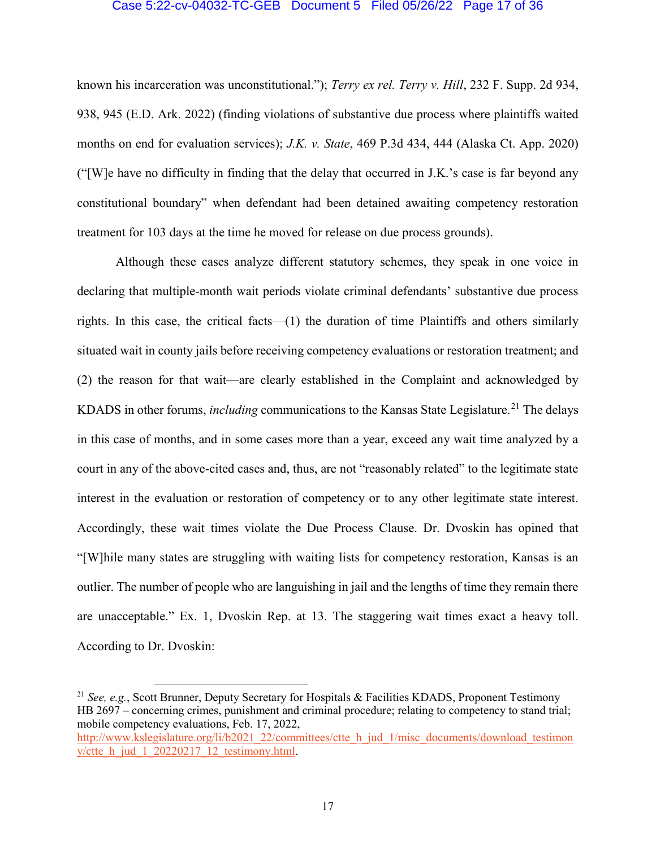## Case 5:22-cv-04032-TC-GEB Document 5 Filed 05/26/22 Page 17 of 36

known his incarceration was unconstitutional."); *Terry ex rel. Terry v. Hill*, 232 F. Supp. 2d 934, 938, 945 (E.D. Ark. 2022) (finding violations of substantive due process where plaintiffs waited months on end for evaluation services); *J.K. v. State*, 469 P.3d 434, 444 (Alaska Ct. App. 2020) ("[W]e have no difficulty in finding that the delay that occurred in J.K.'s case is far beyond any constitutional boundary" when defendant had been detained awaiting competency restoration treatment for 103 days at the time he moved for release on due process grounds).

Although these cases analyze different statutory schemes, they speak in one voice in declaring that multiple-month wait periods violate criminal defendants' substantive due process rights. In this case, the critical facts—(1) the duration of time Plaintiffs and others similarly situated wait in county jails before receiving competency evaluations or restoration treatment; and (2) the reason for that wait—are clearly established in the Complaint and acknowledged by KDADS in other forums, *including* communications to the Kansas State Legislature.<sup>[21](#page-16-0)</sup> The delays in this case of months, and in some cases more than a year, exceed any wait time analyzed by a court in any of the above-cited cases and, thus, are not "reasonably related" to the legitimate state interest in the evaluation or restoration of competency or to any other legitimate state interest. Accordingly, these wait times violate the Due Process Clause. Dr. Dvoskin has opined that "[W]hile many states are struggling with waiting lists for competency restoration, Kansas is an outlier. The number of people who are languishing in jail and the lengths of time they remain there are unacceptable." Ex. 1, Dvoskin Rep. at 13. The staggering wait times exact a heavy toll. According to Dr. Dvoskin:

<span id="page-16-0"></span> <sup>21</sup> *See, e.g.*, Scott Brunner, Deputy Secretary for Hospitals & Facilities KDADS, Proponent Testimony HB 2697 – concerning crimes, punishment and criminal procedure; relating to competency to stand trial; mobile competency evaluations, Feb. 17, 2022,

[http://www.kslegislature.org/li/b2021\\_22/committees/ctte\\_h\\_jud\\_1/misc\\_documents/download\\_testimon](http://www.kslegislature.org/li/b2021_22/committees/ctte_h_jud_1/misc_documents/download_testimony/ctte_h_jud_1_20220217_12_testimony.html) y/ctte h\_jud\_1\_20220217\_12\_testimony.html.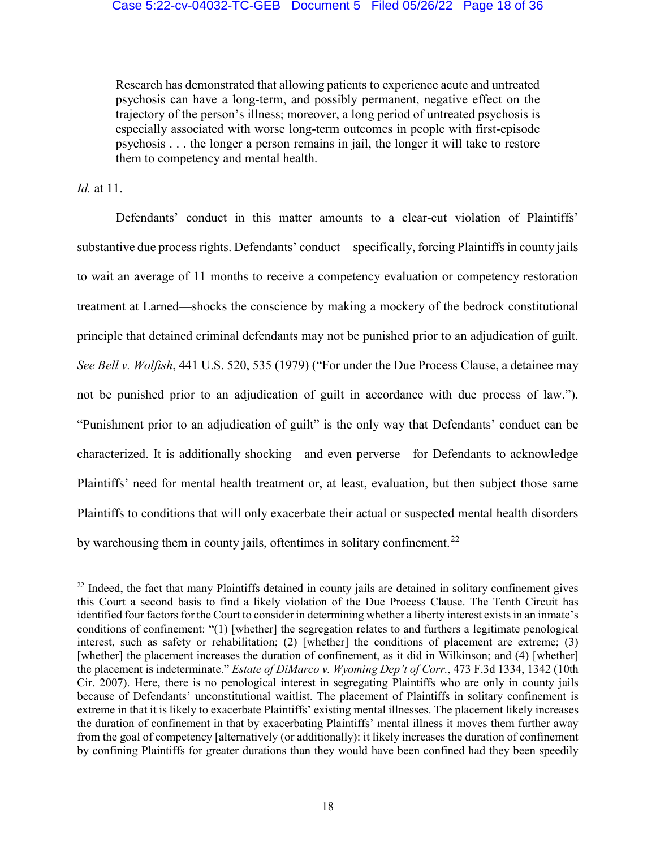Research has demonstrated that allowing patients to experience acute and untreated psychosis can have a long-term, and possibly permanent, negative effect on the trajectory of the person's illness; moreover, a long period of untreated psychosis is especially associated with worse long-term outcomes in people with first-episode psychosis . . . the longer a person remains in jail, the longer it will take to restore them to competency and mental health.

*Id.* at 11.

Defendants' conduct in this matter amounts to a clear-cut violation of Plaintiffs' substantive due process rights. Defendants' conduct—specifically, forcing Plaintiffs in county jails to wait an average of 11 months to receive a competency evaluation or competency restoration treatment at Larned—shocks the conscience by making a mockery of the bedrock constitutional principle that detained criminal defendants may not be punished prior to an adjudication of guilt. *See Bell v. Wolfish*, 441 U.S. 520, 535 (1979) ("For under the Due Process Clause, a detainee may not be punished prior to an adjudication of guilt in accordance with due process of law."). "Punishment prior to an adjudication of guilt" is the only way that Defendants' conduct can be characterized. It is additionally shocking—and even perverse—for Defendants to acknowledge Plaintiffs' need for mental health treatment or, at least, evaluation, but then subject those same Plaintiffs to conditions that will only exacerbate their actual or suspected mental health disorders by warehousing them in county jails, oftentimes in solitary confinement.<sup>[22](#page-17-0)</sup>

<span id="page-17-0"></span><sup>&</sup>lt;sup>22</sup> Indeed, the fact that many Plaintiffs detained in county jails are detained in solitary confinement gives this Court a second basis to find a likely violation of the Due Process Clause. The Tenth Circuit has identified four factors for the Court to consider in determining whether a liberty interest exists in an inmate's conditions of confinement: "(1) [whether] the segregation relates to and furthers a legitimate penological interest, such as safety or rehabilitation; (2) [whether] the conditions of placement are extreme; (3) [whether] the placement increases the duration of confinement, as it did in Wilkinson; and (4) [whether] the placement is indeterminate." *Estate of DiMarco v. Wyoming Dep't of Corr.*, 473 F.3d 1334, 1342 (10th Cir. 2007). Here, there is no penological interest in segregating Plaintiffs who are only in county jails because of Defendants' unconstitutional waitlist. The placement of Plaintiffs in solitary confinement is extreme in that it is likely to exacerbate Plaintiffs' existing mental illnesses. The placement likely increases the duration of confinement in that by exacerbating Plaintiffs' mental illness it moves them further away from the goal of competency [alternatively (or additionally): it likely increases the duration of confinement by confining Plaintiffs for greater durations than they would have been confined had they been speedily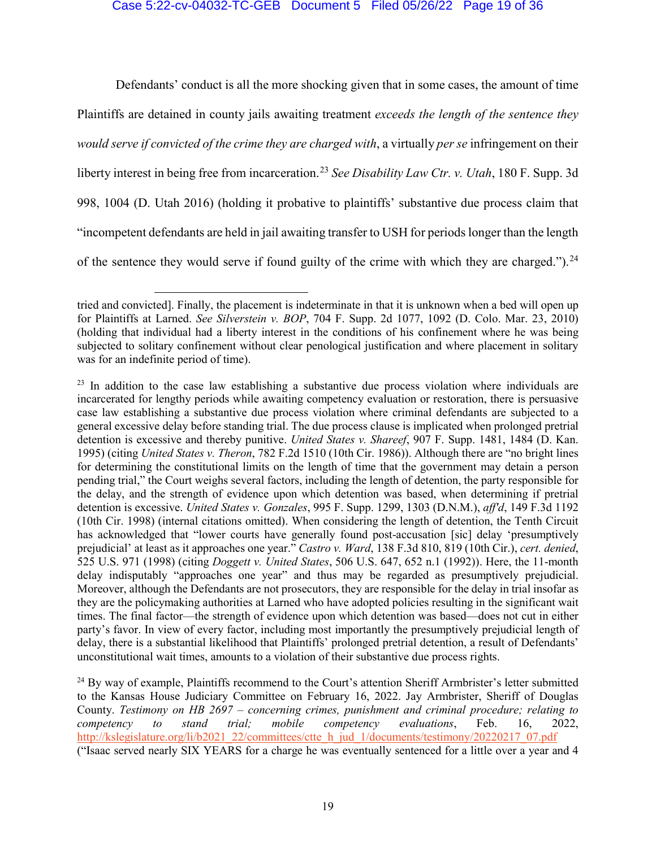## Case 5:22-cv-04032-TC-GEB Document 5 Filed 05/26/22 Page 19 of 36

Defendants' conduct is all the more shocking given that in some cases, the amount of time Plaintiffs are detained in county jails awaiting treatment *exceeds the length of the sentence they would serve if convicted of the crime they are charged with*, a virtually *per se* infringement on their liberty interest in being free from incarceration.[23](#page-18-0) *See Disability Law Ctr. v. Utah*, 180 F. Supp. 3d 998, 1004 (D. Utah 2016) (holding it probative to plaintiffs' substantive due process claim that "incompetent defendants are held in jail awaiting transfer to USH for periods longer than the length of the sentence they would serve if found guilty of the crime with which they are charged.").  $24$ 

 $\overline{a}$ 

tried and convicted]. Finally, the placement is indeterminate in that it is unknown when a bed will open up for Plaintiffs at Larned. *See Silverstein v. BOP*, 704 F. Supp. 2d 1077, 1092 (D. Colo. Mar. 23, 2010) (holding that individual had a liberty interest in the conditions of his confinement where he was being subjected to solitary confinement without clear penological justification and where placement in solitary was for an indefinite period of time).

<span id="page-18-0"></span><sup>&</sup>lt;sup>23</sup> In addition to the case law establishing a substantive due process violation where individuals are incarcerated for lengthy periods while awaiting competency evaluation or restoration, there is persuasive case law establishing a substantive due process violation where criminal defendants are subjected to a general excessive delay before standing trial. The due process clause is implicated when prolonged pretrial detention is excessive and thereby punitive. *United States v. Shareef*, 907 F. Supp. 1481, 1484 (D. Kan. 1995) (citing *United States v. Theron*, 782 F.2d 1510 (10th Cir. 1986)). Although there are "no bright lines for determining the constitutional limits on the length of time that the government may detain a person pending trial," the Court weighs several factors, including the length of detention, the party responsible for the delay, and the strength of evidence upon which detention was based, when determining if pretrial detention is excessive. *United States v. Gonzales*, 995 F. Supp. 1299, 1303 (D.N.M.), *aff'd*, 149 F.3d 1192 (10th Cir. 1998) (internal citations omitted). When considering the length of detention, the Tenth Circuit has acknowledged that "lower courts have generally found post-accusation [sic] delay 'presumptively prejudicial' at least as it approaches one year." *Castro v. Ward*, 138 F.3d 810, 819 (10th Cir.), *cert. denied*, 525 U.S. 971 (1998) (citing *Doggett v. United States*, 506 U.S. 647, 652 n.1 (1992)). Here, the 11-month delay indisputably "approaches one year" and thus may be regarded as presumptively prejudicial. Moreover, although the Defendants are not prosecutors, they are responsible for the delay in trial insofar as they are the policymaking authorities at Larned who have adopted policies resulting in the significant wait times. The final factor—the strength of evidence upon which detention was based—does not cut in either party's favor. In view of every factor, including most importantly the presumptively prejudicial length of delay, there is a substantial likelihood that Plaintiffs' prolonged pretrial detention, a result of Defendants' unconstitutional wait times, amounts to a violation of their substantive due process rights.

<span id="page-18-1"></span><sup>&</sup>lt;sup>24</sup> By way of example, Plaintiffs recommend to the Court's attention Sheriff Armbrister's letter submitted to the Kansas House Judiciary Committee on February 16, 2022. Jay Armbrister, Sheriff of Douglas County. *Testimony on HB 2697 – concerning crimes, punishment and criminal procedure; relating to competency to stand trial; mobile competency evaluations*, Feb. 16, 2022, [http://kslegislature.org/li/b2021\\_22/committees/ctte\\_h\\_jud\\_1/documents/testimony/20220217\\_07.pdf](http://kslegislature.org/li/b2021_22/committees/ctte_h_jud_1/documents/testimony/20220217_07.pdf) ("Isaac served nearly SIX YEARS for a charge he was eventually sentenced for a little over a year and 4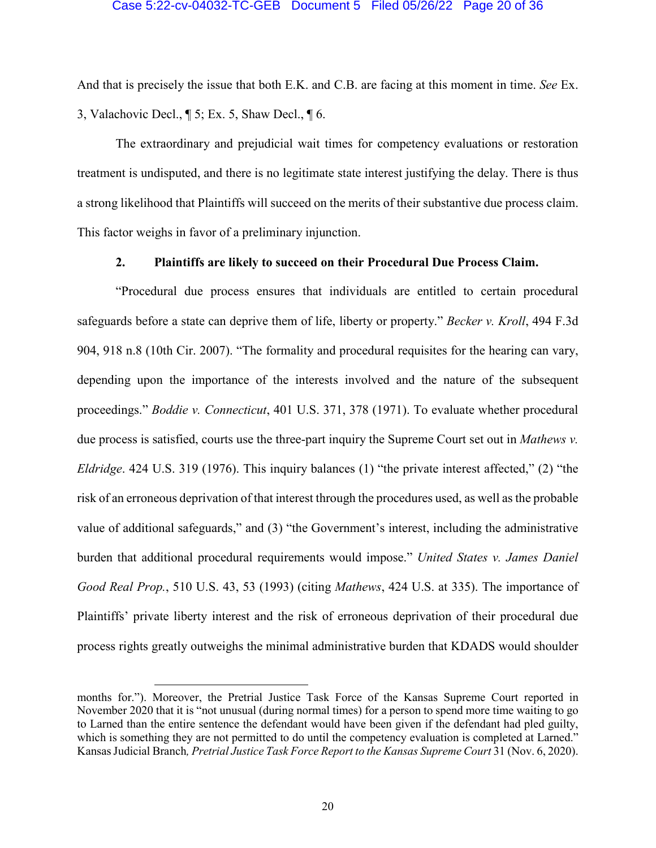## Case 5:22-cv-04032-TC-GEB Document 5 Filed 05/26/22 Page 20 of 36

And that is precisely the issue that both E.K. and C.B. are facing at this moment in time. *See* Ex. 3, Valachovic Decl., ¶ 5; Ex. 5, Shaw Decl., ¶ 6.

The extraordinary and prejudicial wait times for competency evaluations or restoration treatment is undisputed, and there is no legitimate state interest justifying the delay. There is thus a strong likelihood that Plaintiffs will succeed on the merits of their substantive due process claim. This factor weighs in favor of a preliminary injunction.

## **2. Plaintiffs are likely to succeed on their Procedural Due Process Claim.**

"Procedural due process ensures that individuals are entitled to certain procedural safeguards before a state can deprive them of life, liberty or property." *Becker v. Kroll*, 494 F.3d 904, 918 n.8 (10th Cir. 2007). "The formality and procedural requisites for the hearing can vary, depending upon the importance of the interests involved and the nature of the subsequent proceedings." *Boddie v. Connecticut*, 401 U.S. 371, 378 (1971). To evaluate whether procedural due process is satisfied, courts use the three-part inquiry the Supreme Court set out in *Mathews v. Eldridge*. 424 U.S. 319 (1976). This inquiry balances (1) "the private interest affected," (2) "the risk of an erroneous deprivation of that interest through the procedures used, as well as the probable value of additional safeguards," and (3) "the Government's interest, including the administrative burden that additional procedural requirements would impose." *United States v. James Daniel Good Real Prop.*, 510 U.S. 43, 53 (1993) (citing *Mathews*, 424 U.S. at 335). The importance of Plaintiffs' private liberty interest and the risk of erroneous deprivation of their procedural due process rights greatly outweighs the minimal administrative burden that KDADS would shoulder

 $\ddot{\phantom{a}}$ 

months for."). Moreover, the Pretrial Justice Task Force of the Kansas Supreme Court reported in November 2020 that it is "not unusual (during normal times) for a person to spend more time waiting to go to Larned than the entire sentence the defendant would have been given if the defendant had pled guilty, which is something they are not permitted to do until the competency evaluation is completed at Larned." Kansas Judicial Branch*, Pretrial Justice Task Force Report to the Kansas Supreme Court* 31 (Nov. 6, 2020).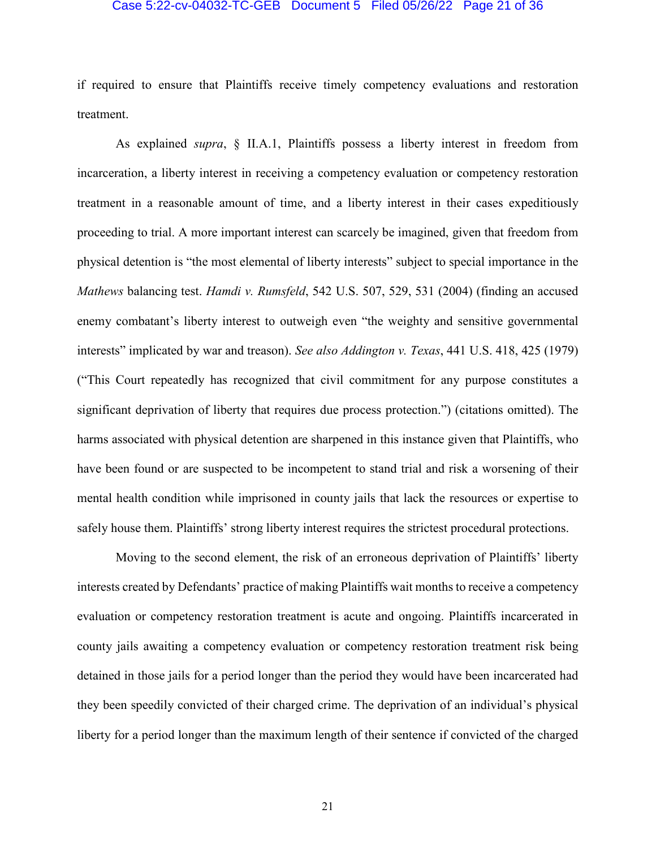#### Case 5:22-cv-04032-TC-GEB Document 5 Filed 05/26/22 Page 21 of 36

if required to ensure that Plaintiffs receive timely competency evaluations and restoration treatment.

As explained *supra*, § II.A.1, Plaintiffs possess a liberty interest in freedom from incarceration, a liberty interest in receiving a competency evaluation or competency restoration treatment in a reasonable amount of time, and a liberty interest in their cases expeditiously proceeding to trial. A more important interest can scarcely be imagined, given that freedom from physical detention is "the most elemental of liberty interests" subject to special importance in the *Mathews* balancing test. *Hamdi v. Rumsfeld*, 542 U.S. 507, 529, 531 (2004) (finding an accused enemy combatant's liberty interest to outweigh even "the weighty and sensitive governmental interests" implicated by war and treason). *See also Addington v. Texas*, 441 U.S. 418, 425 (1979) ("This Court repeatedly has recognized that civil commitment for any purpose constitutes a significant deprivation of liberty that requires due process protection.") (citations omitted). The harms associated with physical detention are sharpened in this instance given that Plaintiffs, who have been found or are suspected to be incompetent to stand trial and risk a worsening of their mental health condition while imprisoned in county jails that lack the resources or expertise to safely house them. Plaintiffs' strong liberty interest requires the strictest procedural protections.

Moving to the second element, the risk of an erroneous deprivation of Plaintiffs' liberty interests created by Defendants' practice of making Plaintiffs wait months to receive a competency evaluation or competency restoration treatment is acute and ongoing. Plaintiffs incarcerated in county jails awaiting a competency evaluation or competency restoration treatment risk being detained in those jails for a period longer than the period they would have been incarcerated had they been speedily convicted of their charged crime. The deprivation of an individual's physical liberty for a period longer than the maximum length of their sentence if convicted of the charged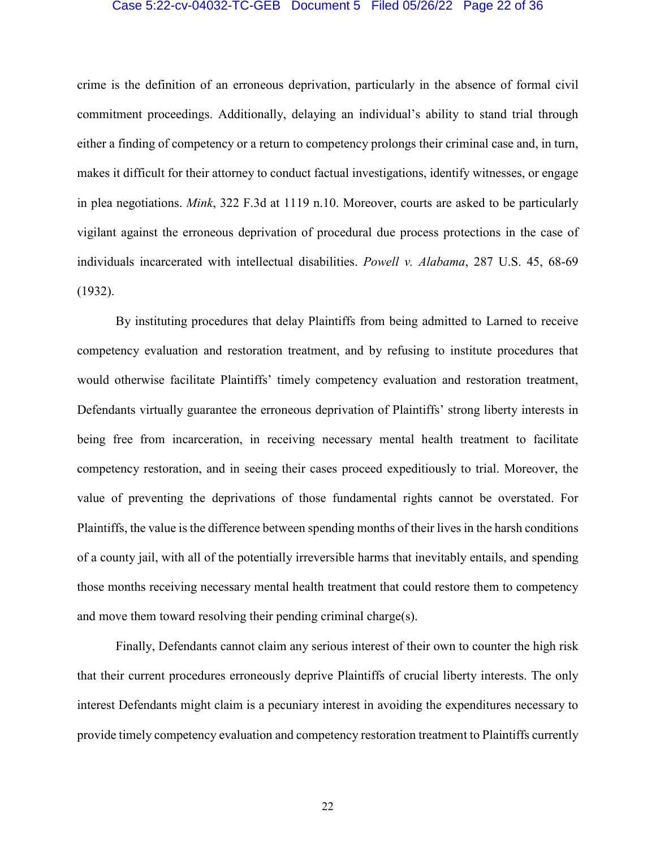#### Case 5:22-cv-04032-TC-GEB Document 5 Filed 05/26/22 Page 22 of 36

crime is the definition of an erroneous deprivation, particularly in the absence of formal civil commitment proceedings. Additionally, delaying an individual's ability to stand trial through either a finding of competency or a return to competency prolongs their criminal case and, in turn, makes it difficult for their attorney to conduct factual investigations, identify witnesses, or engage in plea negotiations. *Mink*, 322 F.3d at 1119 n.10. Moreover, courts are asked to be particularly vigilant against the erroneous deprivation of procedural due process protections in the case of individuals incarcerated with intellectual disabilities. *Powell v. Alabama*, 287 U.S. 45, 68-69 (1932).

By instituting procedures that delay Plaintiffs from being admitted to Larned to receive competency evaluation and restoration treatment, and by refusing to institute procedures that would otherwise facilitate Plaintiffs' timely competency evaluation and restoration treatment, Defendants virtually guarantee the erroneous deprivation of Plaintiffs' strong liberty interests in being free from incarceration, in receiving necessary mental health treatment to facilitate competency restoration, and in seeing their cases proceed expeditiously to trial. Moreover, the value of preventing the deprivations of those fundamental rights cannot be overstated. For Plaintiffs, the value is the difference between spending months of their lives in the harsh conditions of a county jail, with all of the potentially irreversible harms that inevitably entails, and spending those months receiving necessary mental health treatment that could restore them to competency and move them toward resolving their pending criminal charge(s).

Finally, Defendants cannot claim any serious interest of their own to counter the high risk that their current procedures erroneously deprive Plaintiffs of crucial liberty interests. The only interest Defendants might claim is a pecuniary interest in avoiding the expenditures necessary to provide timely competency evaluation and competency restoration treatment to Plaintiffs currently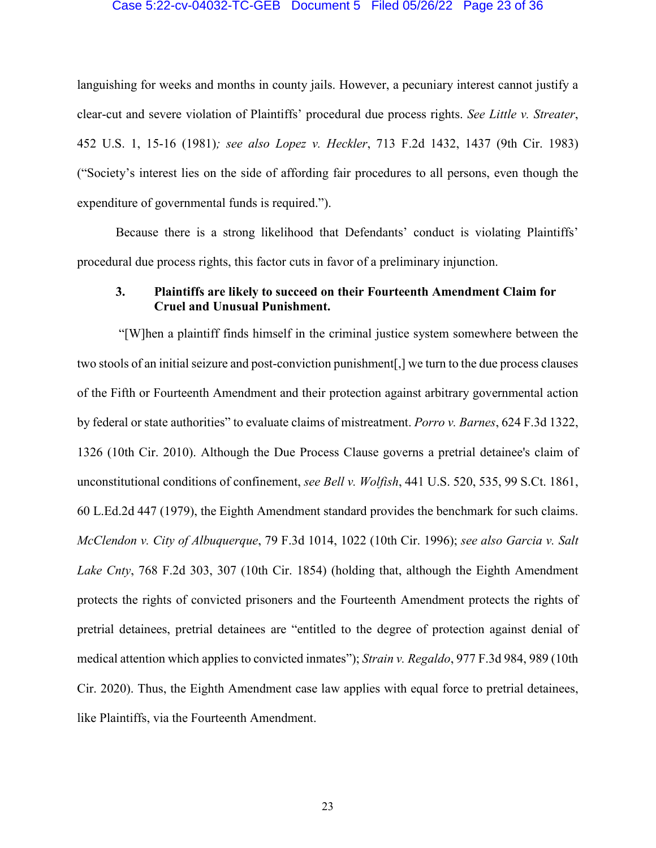#### Case 5:22-cv-04032-TC-GEB Document 5 Filed 05/26/22 Page 23 of 36

languishing for weeks and months in county jails. However, a pecuniary interest cannot justify a clear-cut and severe violation of Plaintiffs' procedural due process rights. *See Little v. Streater*, 452 U.S. 1, 15-16 (1981)*; see also Lopez v. Heckler*, 713 F.2d 1432, 1437 (9th Cir. 1983) ("Society's interest lies on the side of affording fair procedures to all persons, even though the expenditure of governmental funds is required.").

Because there is a strong likelihood that Defendants' conduct is violating Plaintiffs' procedural due process rights, this factor cuts in favor of a preliminary injunction.

## **3. Plaintiffs are likely to succeed on their Fourteenth Amendment Claim for Cruel and Unusual Punishment.**

"[W]hen a plaintiff finds himself in the criminal justice system somewhere between the two stools of an initial seizure and post-conviction punishment[,] we turn to the due process clauses of the Fifth or Fourteenth Amendment and their protection against arbitrary governmental action by federal or state authorities" to evaluate claims of mistreatment. *Porro v. Barnes*, 624 F.3d 1322, 1326 (10th Cir. 2010). Although the Due Process Clause governs a pretrial detainee's claim of unconstitutional conditions of confinement, *see Bell v. Wolfish*, 441 U.S. 520, 535, 99 S.Ct. 1861, 60 L.Ed.2d 447 (1979), the Eighth Amendment standard provides the benchmark for such claims. *McClendon v. City of Albuquerque*, 79 F.3d 1014, 1022 (10th Cir. 1996); *see also Garcia v. Salt Lake Cnty*, 768 F.2d 303, 307 (10th Cir. 1854) (holding that, although the Eighth Amendment protects the rights of convicted prisoners and the Fourteenth Amendment protects the rights of pretrial detainees, pretrial detainees are "entitled to the degree of protection against denial of medical attention which applies to convicted inmates"); *Strain v. Regaldo*, 977 F.3d 984, 989 (10th Cir. 2020). Thus, the Eighth Amendment case law applies with equal force to pretrial detainees, like Plaintiffs, via the Fourteenth Amendment.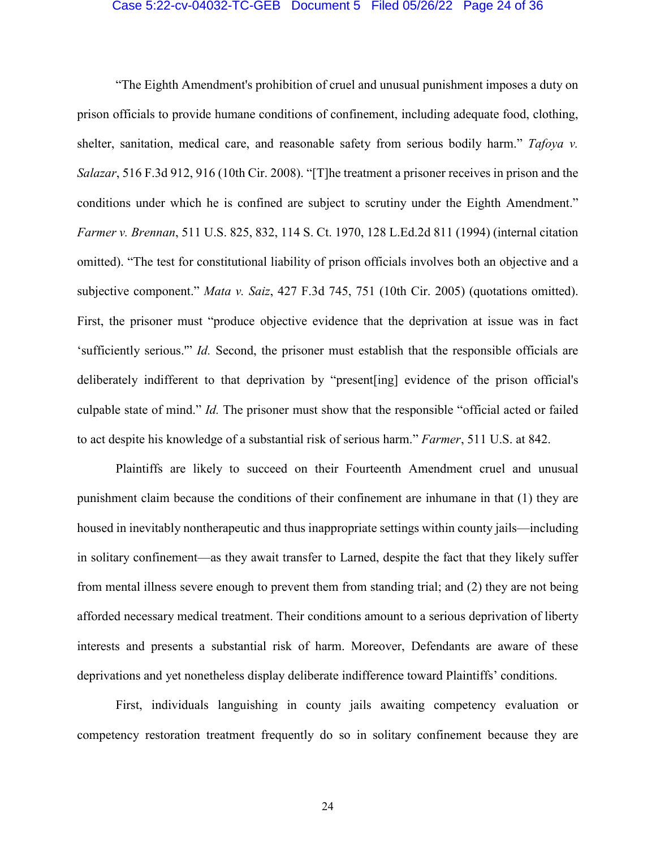#### Case 5:22-cv-04032-TC-GEB Document 5 Filed 05/26/22 Page 24 of 36

"The Eighth Amendment's prohibition of cruel and unusual punishment imposes a duty on prison officials to provide humane conditions of confinement, including adequate food, clothing, shelter, sanitation, medical care, and reasonable safety from serious bodily harm." *Tafoya v. Salazar*, 516 F.3d 912, 916 (10th Cir. 2008). "[T]he treatment a prisoner receives in prison and the conditions under which he is confined are subject to scrutiny under the Eighth Amendment." *Farmer v. Brennan*, 511 U.S. 825, 832, 114 S. Ct. 1970, 128 L.Ed.2d 811 (1994) (internal citation omitted). "The test for constitutional liability of prison officials involves both an objective and a subjective component." *Mata v. Saiz*, 427 F.3d 745, 751 (10th Cir. 2005) (quotations omitted). First, the prisoner must "produce objective evidence that the deprivation at issue was in fact 'sufficiently serious.'" *Id.* Second, the prisoner must establish that the responsible officials are deliberately indifferent to that deprivation by "present[ing] evidence of the prison official's culpable state of mind." *Id.* The prisoner must show that the responsible "official acted or failed to act despite his knowledge of a substantial risk of serious harm." *Farmer*, 511 U.S. at 842.

Plaintiffs are likely to succeed on their Fourteenth Amendment cruel and unusual punishment claim because the conditions of their confinement are inhumane in that (1) they are housed in inevitably nontherapeutic and thus inappropriate settings within county jails—including in solitary confinement—as they await transfer to Larned, despite the fact that they likely suffer from mental illness severe enough to prevent them from standing trial; and (2) they are not being afforded necessary medical treatment. Their conditions amount to a serious deprivation of liberty interests and presents a substantial risk of harm. Moreover, Defendants are aware of these deprivations and yet nonetheless display deliberate indifference toward Plaintiffs' conditions.

First, individuals languishing in county jails awaiting competency evaluation or competency restoration treatment frequently do so in solitary confinement because they are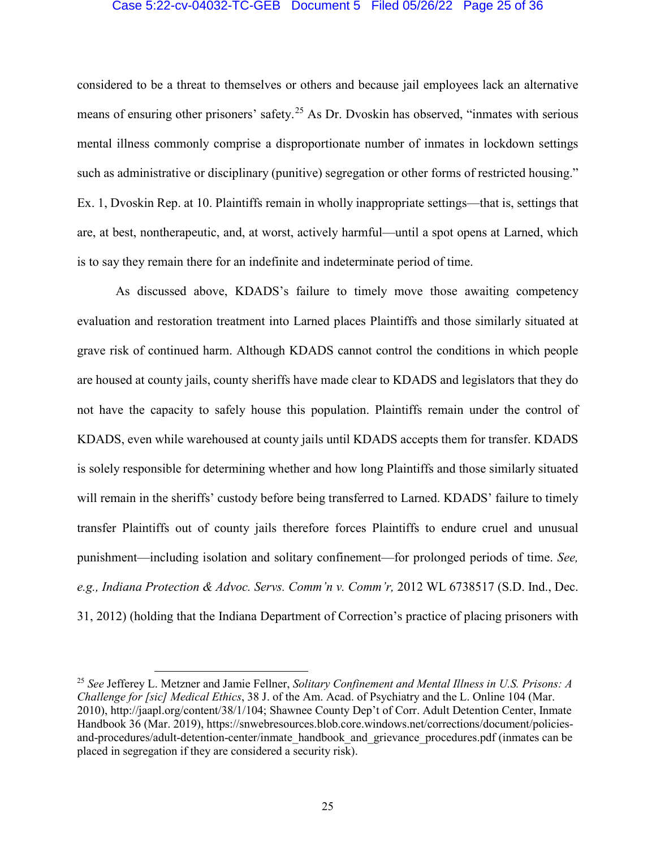### Case 5:22-cv-04032-TC-GEB Document 5 Filed 05/26/22 Page 25 of 36

considered to be a threat to themselves or others and because jail employees lack an alternative means of ensuring other prisoners' safety.<sup>[25](#page-24-0)</sup> As Dr. Dvoskin has observed, "inmates with serious mental illness commonly comprise a disproportionate number of inmates in lockdown settings such as administrative or disciplinary (punitive) segregation or other forms of restricted housing." Ex. 1, Dvoskin Rep. at 10. Plaintiffs remain in wholly inappropriate settings—that is, settings that are, at best, nontherapeutic, and, at worst, actively harmful—until a spot opens at Larned, which is to say they remain there for an indefinite and indeterminate period of time.

As discussed above, KDADS's failure to timely move those awaiting competency evaluation and restoration treatment into Larned places Plaintiffs and those similarly situated at grave risk of continued harm. Although KDADS cannot control the conditions in which people are housed at county jails, county sheriffs have made clear to KDADS and legislators that they do not have the capacity to safely house this population. Plaintiffs remain under the control of KDADS, even while warehoused at county jails until KDADS accepts them for transfer. KDADS is solely responsible for determining whether and how long Plaintiffs and those similarly situated will remain in the sheriffs' custody before being transferred to Larned. KDADS' failure to timely transfer Plaintiffs out of county jails therefore forces Plaintiffs to endure cruel and unusual punishment—including isolation and solitary confinement—for prolonged periods of time. *See, e.g., Indiana Protection & Advoc. Servs. Comm'n v. Comm'r,* 2012 WL 6738517 (S.D. Ind., Dec. 31, 2012) (holding that the Indiana Department of Correction's practice of placing prisoners with

<span id="page-24-0"></span> <sup>25</sup> *See* Jefferey L. Metzner and Jamie Fellner, *Solitary Confinement and Mental Illness in U.S. Prisons: A Challenge for [sic] Medical Ethics*, 38 J. of the Am. Acad. of Psychiatry and the L. Online 104 (Mar. 2010), http://jaapl.org/content/38/1/104; Shawnee County Dep't of Corr. Adult Detention Center, Inmate Handbook 36 (Mar. 2019), https://snwebresources.blob.core.windows.net/corrections/document/policiesand-procedures/adult-detention-center/inmate\_handbook\_and\_grievance\_procedures.pdf (inmates can be placed in segregation if they are considered a security risk).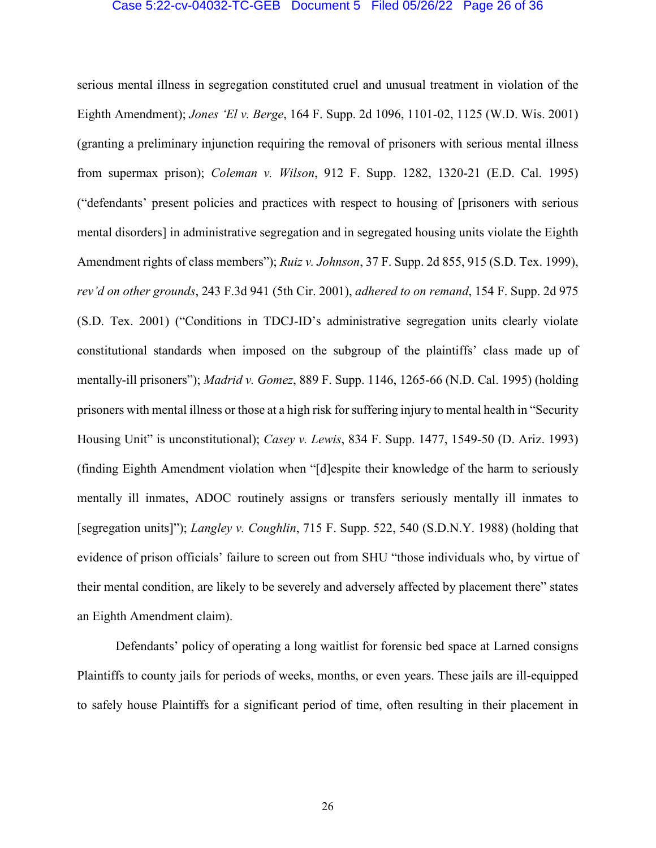#### Case 5:22-cv-04032-TC-GEB Document 5 Filed 05/26/22 Page 26 of 36

serious mental illness in segregation constituted cruel and unusual treatment in violation of the Eighth Amendment); *Jones 'El v. Berge*, 164 F. Supp. 2d 1096, 1101-02, 1125 (W.D. Wis. 2001) (granting a preliminary injunction requiring the removal of prisoners with serious mental illness from supermax prison); *Coleman v. Wilson*, 912 F. Supp. 1282, 1320-21 (E.D. Cal. 1995) ("defendants' present policies and practices with respect to housing of [prisoners with serious mental disorders] in administrative segregation and in segregated housing units violate the Eighth Amendment rights of class members"); *Ruiz v. Johnson*, 37 F. Supp. 2d 855, 915 (S.D. Tex. 1999), *rev'd on other grounds*, 243 F.3d 941 (5th Cir. 2001), *adhered to on remand*, 154 F. Supp. 2d 975 (S.D. Tex. 2001) ("Conditions in TDCJ-ID's administrative segregation units clearly violate constitutional standards when imposed on the subgroup of the plaintiffs' class made up of mentally-ill prisoners"); *Madrid v. Gomez*, 889 F. Supp. 1146, 1265-66 (N.D. Cal. 1995) (holding prisoners with mental illness or those at a high risk for suffering injury to mental health in "Security Housing Unit" is unconstitutional); *Casey v. Lewis*, 834 F. Supp. 1477, 1549-50 (D. Ariz. 1993) (finding Eighth Amendment violation when "[d]espite their knowledge of the harm to seriously mentally ill inmates, ADOC routinely assigns or transfers seriously mentally ill inmates to [segregation units]"); *Langley v. Coughlin*, 715 F. Supp. 522, 540 (S.D.N.Y. 1988) (holding that evidence of prison officials' failure to screen out from SHU "those individuals who, by virtue of their mental condition, are likely to be severely and adversely affected by placement there" states an Eighth Amendment claim).

Defendants' policy of operating a long waitlist for forensic bed space at Larned consigns Plaintiffs to county jails for periods of weeks, months, or even years. These jails are ill-equipped to safely house Plaintiffs for a significant period of time, often resulting in their placement in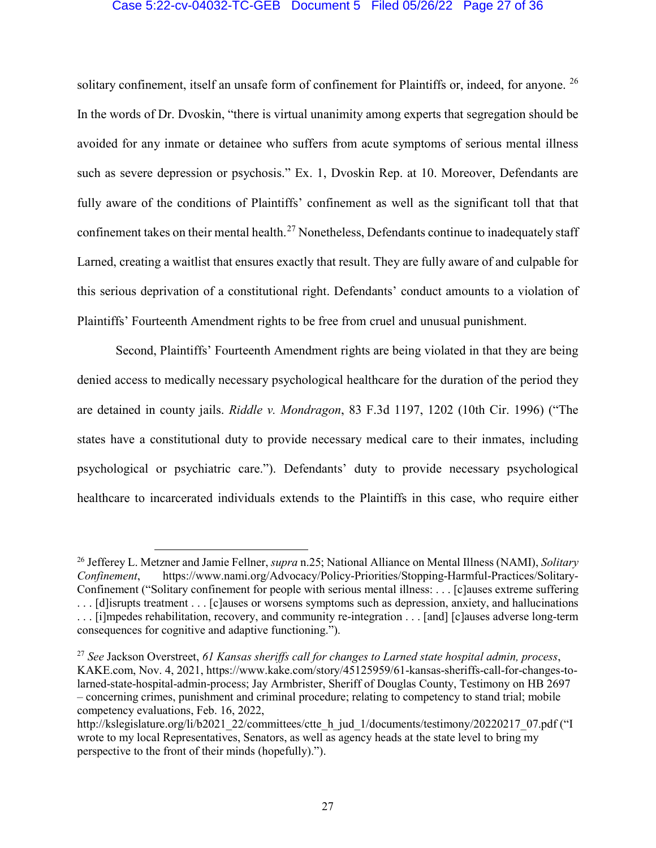## Case 5:22-cv-04032-TC-GEB Document 5 Filed 05/26/22 Page 27 of 36

solitary confinement, itself an unsafe form of confinement for Plaintiffs or, indeed, for anyone. <sup>[26](#page-26-0)</sup> In the words of Dr. Dvoskin, "there is virtual unanimity among experts that segregation should be avoided for any inmate or detainee who suffers from acute symptoms of serious mental illness such as severe depression or psychosis." Ex. 1, Dvoskin Rep. at 10. Moreover, Defendants are fully aware of the conditions of Plaintiffs' confinement as well as the significant toll that that confinement takes on their mental health.<sup>[27](#page-26-1)</sup> Nonetheless, Defendants continue to inadequately staff Larned, creating a waitlist that ensures exactly that result. They are fully aware of and culpable for this serious deprivation of a constitutional right. Defendants' conduct amounts to a violation of Plaintiffs' Fourteenth Amendment rights to be free from cruel and unusual punishment.

Second, Plaintiffs' Fourteenth Amendment rights are being violated in that they are being denied access to medically necessary psychological healthcare for the duration of the period they are detained in county jails. *Riddle v. Mondragon*, 83 F.3d 1197, 1202 (10th Cir. 1996) ("The states have a constitutional duty to provide necessary medical care to their inmates, including psychological or psychiatric care."). Defendants' duty to provide necessary psychological healthcare to incarcerated individuals extends to the Plaintiffs in this case, who require either

<span id="page-26-0"></span> <sup>26</sup> Jefferey L. Metzner and Jamie Fellner, *supra* n.25; National Alliance on Mental Illness (NAMI), *Solitary Confinement*, https://www.nami.org/Advocacy/Policy-Priorities/Stopping-Harmful-Practices/Solitary-Confinement ("Solitary confinement for people with serious mental illness: . . . [c]auses extreme suffering . . . [d]isrupts treatment . . . [c]auses or worsens symptoms such as depression, anxiety, and hallucinations . . . [i]mpedes rehabilitation, recovery, and community re-integration . . . [and] [c]auses adverse long-term consequences for cognitive and adaptive functioning.").

<span id="page-26-1"></span><sup>27</sup> *See* Jackson Overstreet, *61 Kansas sheriffs call for changes to Larned state hospital admin, process*, KAKE.com, Nov. 4, 2021, https://www.kake.com/story/45125959/61-kansas-sheriffs-call-for-changes-tolarned-state-hospital-admin-process; Jay Armbrister, Sheriff of Douglas County, Testimony on HB 2697 – concerning crimes, punishment and criminal procedure; relating to competency to stand trial; mobile competency evaluations, Feb. 16, 2022,

http://kslegislature.org/li/b2021\_22/committees/ctte\_h\_jud\_1/documents/testimony/20220217\_07.pdf ("I wrote to my local Representatives, Senators, as well as agency heads at the state level to bring my perspective to the front of their minds (hopefully).").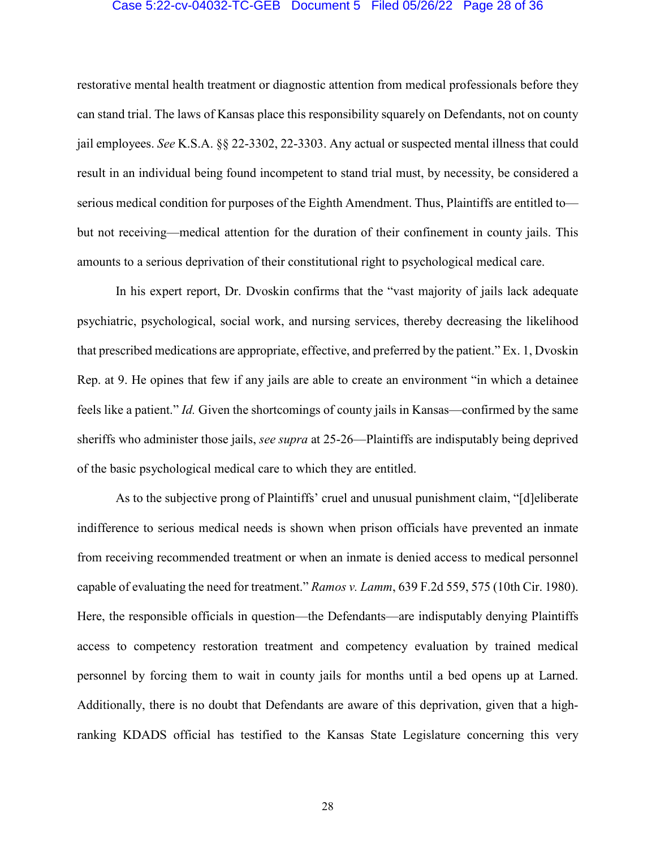#### Case 5:22-cv-04032-TC-GEB Document 5 Filed 05/26/22 Page 28 of 36

restorative mental health treatment or diagnostic attention from medical professionals before they can stand trial. The laws of Kansas place this responsibility squarely on Defendants, not on county jail employees. *See* K.S.A. §§ 22-3302, 22-3303. Any actual or suspected mental illness that could result in an individual being found incompetent to stand trial must, by necessity, be considered a serious medical condition for purposes of the Eighth Amendment. Thus, Plaintiffs are entitled to but not receiving—medical attention for the duration of their confinement in county jails. This amounts to a serious deprivation of their constitutional right to psychological medical care.

In his expert report, Dr. Dvoskin confirms that the "vast majority of jails lack adequate psychiatric, psychological, social work, and nursing services, thereby decreasing the likelihood that prescribed medications are appropriate, effective, and preferred by the patient." Ex. 1, Dvoskin Rep. at 9. He opines that few if any jails are able to create an environment "in which a detainee feels like a patient." *Id.* Given the shortcomings of county jails in Kansas—confirmed by the same sheriffs who administer those jails, *see supra* at 25-26—Plaintiffs are indisputably being deprived of the basic psychological medical care to which they are entitled.

As to the subjective prong of Plaintiffs' cruel and unusual punishment claim, "[d]eliberate indifference to serious medical needs is shown when prison officials have prevented an inmate from receiving recommended treatment or when an inmate is denied access to medical personnel capable of evaluating the need for treatment." *Ramos v. Lamm*, 639 F.2d 559, 575 (10th Cir. 1980). Here, the responsible officials in question—the Defendants—are indisputably denying Plaintiffs access to competency restoration treatment and competency evaluation by trained medical personnel by forcing them to wait in county jails for months until a bed opens up at Larned. Additionally, there is no doubt that Defendants are aware of this deprivation, given that a highranking KDADS official has testified to the Kansas State Legislature concerning this very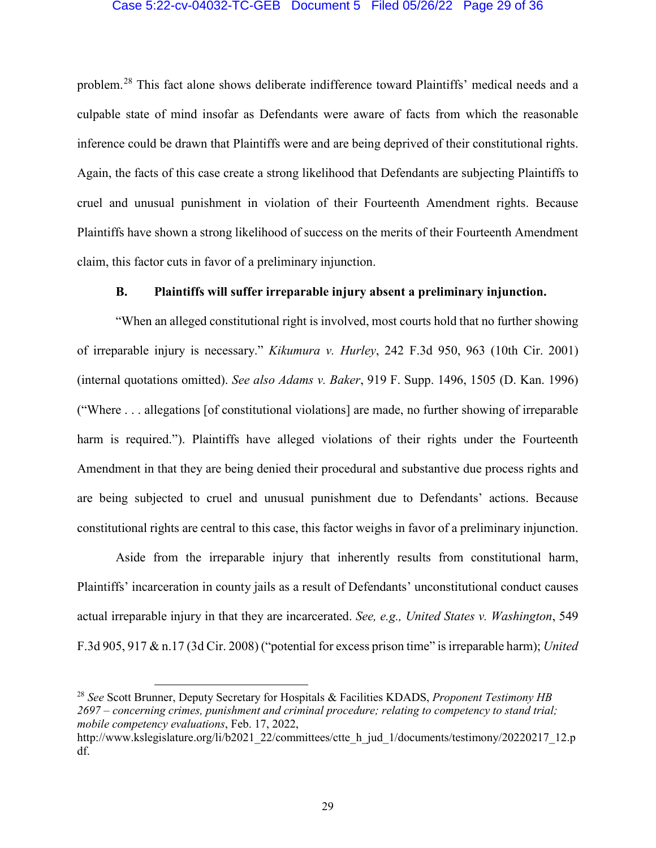### Case 5:22-cv-04032-TC-GEB Document 5 Filed 05/26/22 Page 29 of 36

problem.[28](#page-28-0) This fact alone shows deliberate indifference toward Plaintiffs' medical needs and a culpable state of mind insofar as Defendants were aware of facts from which the reasonable inference could be drawn that Plaintiffs were and are being deprived of their constitutional rights. Again, the facts of this case create a strong likelihood that Defendants are subjecting Plaintiffs to cruel and unusual punishment in violation of their Fourteenth Amendment rights. Because Plaintiffs have shown a strong likelihood of success on the merits of their Fourteenth Amendment claim, this factor cuts in favor of a preliminary injunction.

## **B. Plaintiffs will suffer irreparable injury absent a preliminary injunction.**

"When an alleged constitutional right is involved, most courts hold that no further showing of irreparable injury is necessary." *Kikumura v. Hurley*, 242 F.3d 950, 963 (10th Cir. 2001) (internal quotations omitted). *See also Adams v. Baker*, 919 F. Supp. 1496, 1505 (D. Kan. 1996) ("Where . . . allegations [of constitutional violations] are made, no further showing of irreparable harm is required."). Plaintiffs have alleged violations of their rights under the Fourteenth Amendment in that they are being denied their procedural and substantive due process rights and are being subjected to cruel and unusual punishment due to Defendants' actions. Because constitutional rights are central to this case, this factor weighs in favor of a preliminary injunction.

Aside from the irreparable injury that inherently results from constitutional harm, Plaintiffs' incarceration in county jails as a result of Defendants' unconstitutional conduct causes actual irreparable injury in that they are incarcerated. *See, e.g., United States v. Washington*, 549 F.3d 905, 917 & n.17 (3d Cir. 2008) ("potential for excess prison time" is irreparable harm); *United* 

<span id="page-28-0"></span> 28 *See* Scott Brunner, Deputy Secretary for Hospitals & Facilities KDADS, *Proponent Testimony HB 2697 – concerning crimes, punishment and criminal procedure; relating to competency to stand trial; mobile competency evaluations*, Feb. 17, 2022,

http://www.kslegislature.org/li/b2021\_22/committees/ctte\_h\_jud\_1/documents/testimony/20220217\_12.p df.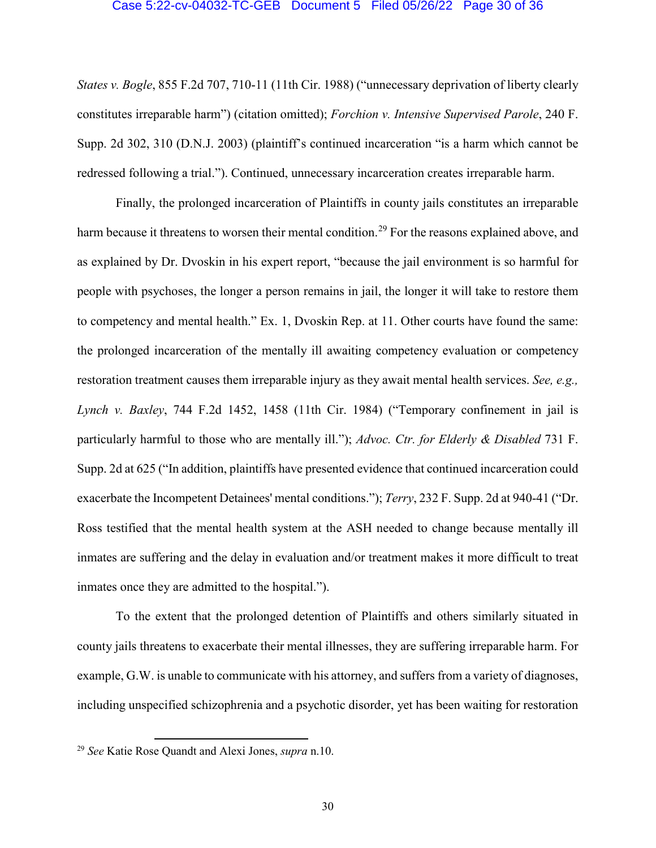#### Case 5:22-cv-04032-TC-GEB Document 5 Filed 05/26/22 Page 30 of 36

*States v. Bogle*, 855 F.2d 707, 710-11 (11th Cir. 1988) ("unnecessary deprivation of liberty clearly constitutes irreparable harm") (citation omitted); *Forchion v. Intensive Supervised Parole*, 240 F. Supp. 2d 302, 310 (D.N.J. 2003) (plaintiff's continued incarceration "is a harm which cannot be redressed following a trial."). Continued, unnecessary incarceration creates irreparable harm.

Finally, the prolonged incarceration of Plaintiffs in county jails constitutes an irreparable harm because it threatens to worsen their mental condition.<sup>[29](#page-29-0)</sup> For the reasons explained above, and as explained by Dr. Dvoskin in his expert report, "because the jail environment is so harmful for people with psychoses, the longer a person remains in jail, the longer it will take to restore them to competency and mental health." Ex. 1, Dvoskin Rep. at 11. Other courts have found the same: the prolonged incarceration of the mentally ill awaiting competency evaluation or competency restoration treatment causes them irreparable injury as they await mental health services. *See, e.g., Lynch v. Baxley*, 744 F.2d 1452, 1458 (11th Cir. 1984) ("Temporary confinement in jail is particularly harmful to those who are mentally ill."); *Advoc. Ctr. for Elderly & Disabled* 731 F. Supp. 2d at 625 ("In addition, plaintiffs have presented evidence that continued incarceration could exacerbate the Incompetent Detainees' mental conditions."); *Terry*, 232 F. Supp. 2d at 940-41 ("Dr. Ross testified that the mental health system at the ASH needed to change because mentally ill inmates are suffering and the delay in evaluation and/or treatment makes it more difficult to treat inmates once they are admitted to the hospital.").

To the extent that the prolonged detention of Plaintiffs and others similarly situated in county jails threatens to exacerbate their mental illnesses, they are suffering irreparable harm. For example, G.W. is unable to communicate with his attorney, and suffers from a variety of diagnoses, including unspecified schizophrenia and a psychotic disorder, yet has been waiting for restoration

<span id="page-29-0"></span> <sup>29</sup> *See* Katie Rose Quandt and Alexi Jones, *supra* n.10.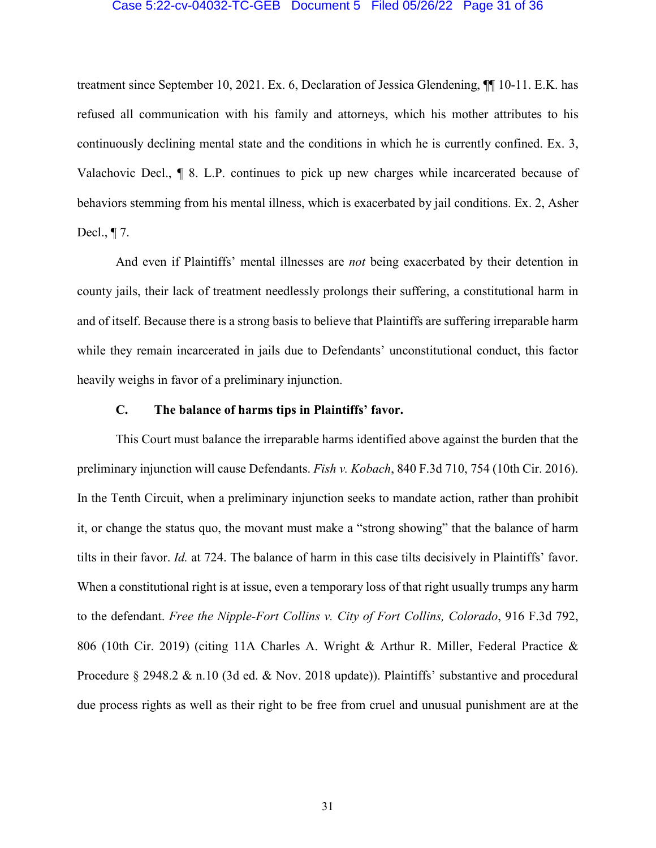#### Case 5:22-cv-04032-TC-GEB Document 5 Filed 05/26/22 Page 31 of 36

treatment since September 10, 2021. Ex. 6, Declaration of Jessica Glendening, ¶¶ 10-11. E.K. has refused all communication with his family and attorneys, which his mother attributes to his continuously declining mental state and the conditions in which he is currently confined. Ex. 3, Valachovic Decl., ¶ 8. L.P. continues to pick up new charges while incarcerated because of behaviors stemming from his mental illness, which is exacerbated by jail conditions. Ex. 2, Asher Decl., ¶ 7.

And even if Plaintiffs' mental illnesses are *not* being exacerbated by their detention in county jails, their lack of treatment needlessly prolongs their suffering, a constitutional harm in and of itself. Because there is a strong basis to believe that Plaintiffs are suffering irreparable harm while they remain incarcerated in jails due to Defendants' unconstitutional conduct, this factor heavily weighs in favor of a preliminary injunction.

## **C. The balance of harms tips in Plaintiffs' favor.**

This Court must balance the irreparable harms identified above against the burden that the preliminary injunction will cause Defendants. *Fish v. Kobach*, 840 F.3d 710, 754 (10th Cir. 2016). In the Tenth Circuit, when a preliminary injunction seeks to mandate action, rather than prohibit it, or change the status quo, the movant must make a "strong showing" that the balance of harm tilts in their favor. *Id.* at 724. The balance of harm in this case tilts decisively in Plaintiffs' favor. When a constitutional right is at issue, even a temporary loss of that right usually trumps any harm to the defendant. *Free the Nipple-Fort Collins v. City of Fort Collins, Colorado*, 916 F.3d 792, 806 (10th Cir. 2019) (citing 11A Charles A. Wright & Arthur R. Miller, Federal Practice & Procedure § 2948.2 & n.10 (3d ed. & Nov. 2018 update)). Plaintiffs' substantive and procedural due process rights as well as their right to be free from cruel and unusual punishment are at the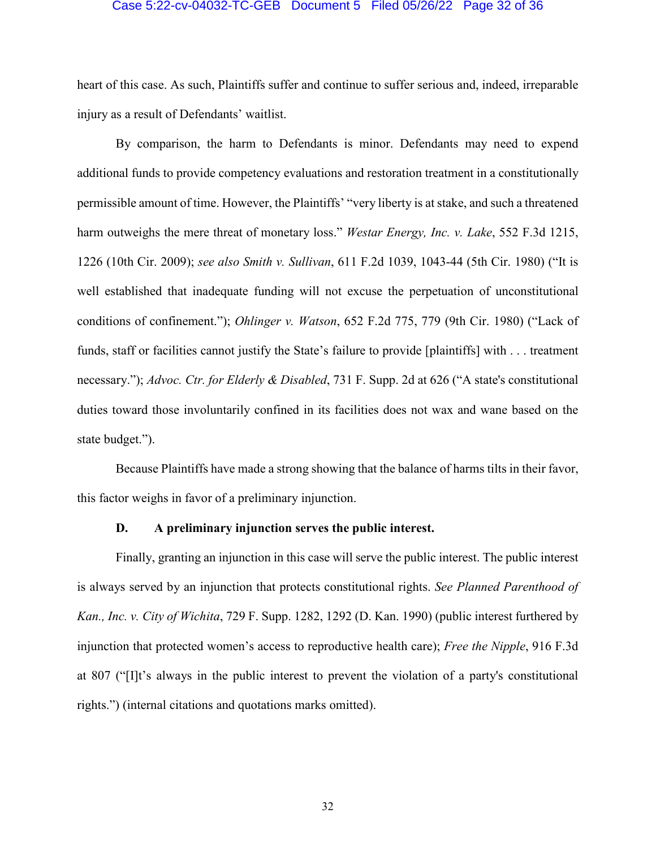#### Case 5:22-cv-04032-TC-GEB Document 5 Filed 05/26/22 Page 32 of 36

heart of this case. As such, Plaintiffs suffer and continue to suffer serious and, indeed, irreparable injury as a result of Defendants' waitlist.

By comparison, the harm to Defendants is minor. Defendants may need to expend additional funds to provide competency evaluations and restoration treatment in a constitutionally permissible amount of time. However, the Plaintiffs' "very liberty is at stake, and such a threatened harm outweighs the mere threat of monetary loss." *Westar Energy, Inc. v. Lake*, 552 F.3d 1215, 1226 (10th Cir. 2009); *see also Smith v. Sullivan*, 611 F.2d 1039, 1043-44 (5th Cir. 1980) ("It is well established that inadequate funding will not excuse the perpetuation of unconstitutional conditions of confinement."); *Ohlinger v. Watson*, 652 F.2d 775, 779 (9th Cir. 1980) ("Lack of funds, staff or facilities cannot justify the State's failure to provide [plaintiffs] with . . . treatment necessary."); *Advoc. Ctr. for Elderly & Disabled*, 731 F. Supp. 2d at 626 ("A state's constitutional duties toward those involuntarily confined in its facilities does not wax and wane based on the state budget.").

Because Plaintiffs have made a strong showing that the balance of harms tilts in their favor, this factor weighs in favor of a preliminary injunction.

## **D. A preliminary injunction serves the public interest.**

Finally, granting an injunction in this case will serve the public interest. The public interest is always served by an injunction that protects constitutional rights. *See Planned Parenthood of Kan., Inc. v. City of Wichita*, 729 F. Supp. 1282, 1292 (D. Kan. 1990) (public interest furthered by injunction that protected women's access to reproductive health care); *Free the Nipple*, 916 F.3d at 807 ("[I]t's always in the public interest to prevent the violation of a party's constitutional rights.") (internal citations and quotations marks omitted).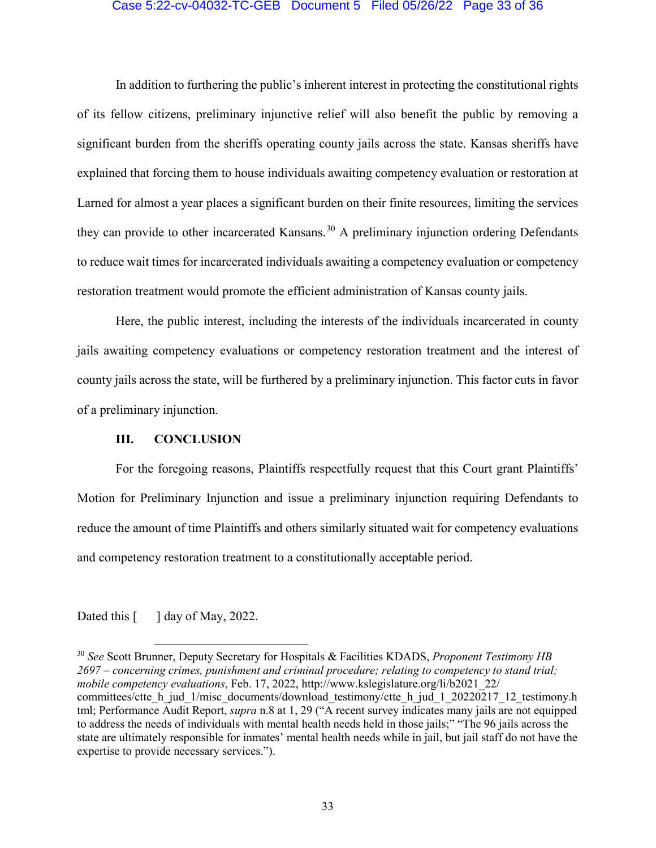### Case 5:22-cv-04032-TC-GEB Document 5 Filed 05/26/22 Page 33 of 36

In addition to furthering the public's inherent interest in protecting the constitutional rights of its fellow citizens, preliminary injunctive relief will also benefit the public by removing a significant burden from the sheriffs operating county jails across the state. Kansas sheriffs have explained that forcing them to house individuals awaiting competency evaluation or restoration at Larned for almost a year places a significant burden on their finite resources, limiting the services they can provide to other incarcerated Kansans.<sup>[30](#page-32-0)</sup> A preliminary injunction ordering Defendants to reduce wait times for incarcerated individuals awaiting a competency evaluation or competency restoration treatment would promote the efficient administration of Kansas county jails.

Here, the public interest, including the interests of the individuals incarcerated in county jails awaiting competency evaluations or competency restoration treatment and the interest of county jails across the state, will be furthered by a preliminary injunction. This factor cuts in favor of a preliminary injunction.

## **III. CONCLUSION**

For the foregoing reasons, Plaintiffs respectfully request that this Court grant Plaintiffs' Motion for Preliminary Injunction and issue a preliminary injunction requiring Defendants to reduce the amount of time Plaintiffs and others similarly situated wait for competency evaluations and competency restoration treatment to a constitutionally acceptable period.

Dated this  $\begin{bmatrix} 1 \end{bmatrix}$  day of May, 2022.

<span id="page-32-0"></span> 30 *See* Scott Brunner, Deputy Secretary for Hospitals & Facilities KDADS, *Proponent Testimony HB 2697 – concerning crimes, punishment and criminal procedure; relating to competency to stand trial; mobile competency evaluations*, Feb. 17, 2022, http://www.kslegislature.org/li/b2021\_22/ committees/ctte\_h\_jud\_1/misc\_documents/download\_testimony/ctte\_h\_jud\_1\_20220217\_12\_testimony.h\_ tml; Performance Audit Report, *supra* n.8 at 1, 29 ("A recent survey indicates many jails are not equipped to address the needs of individuals with mental health needs held in those jails;" "The 96 jails across the state are ultimately responsible for inmates' mental health needs while in jail, but jail staff do not have the expertise to provide necessary services.").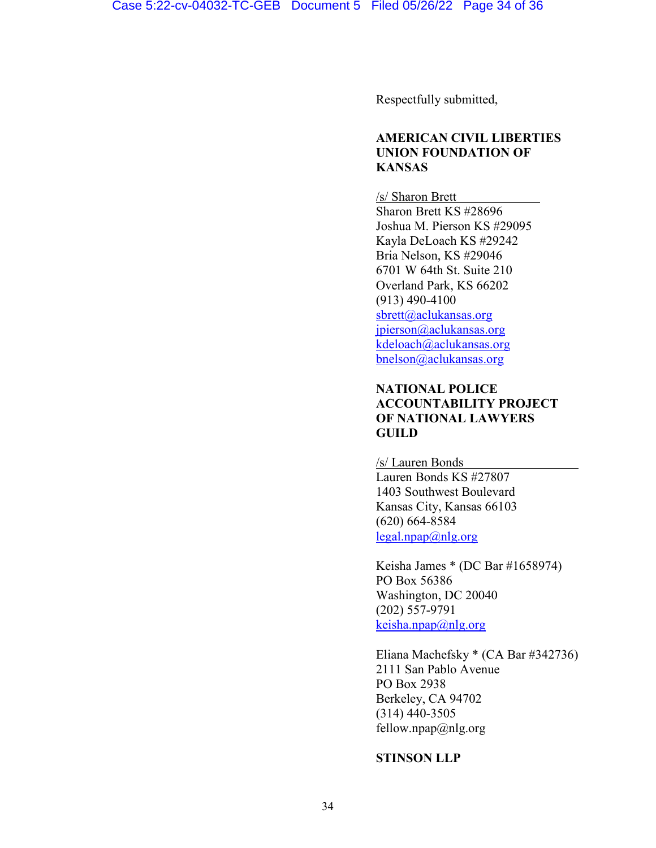Respectfully submitted,

## **AMERICAN CIVIL LIBERTIES UNION FOUNDATION OF KANSAS**

/s/ Sharon Brett Sharon Brett KS #28696 Joshua M. Pierson KS #29095 Kayla DeLoach KS #29242 Bria Nelson, KS #29046 6701 W 64th St. Suite 210 Overland Park, KS 66202 (913) 490-4100 [sbrett@aclukansas.org](mailto:sbrett@aclukansas.org) [jpierson@aclukansas.org](mailto:jpierson@aclukansas.org) [kdeloach@aclukansas.org](mailto:kdeloach@aclukansas.org) bnelson@aclukansas.org

# **NATIONAL POLICE ACCOUNTABILITY PROJECT OF NATIONAL LAWYERS GUILD**

/s/ Lauren Bonds Lauren Bonds KS #27807 1403 Southwest Boulevard Kansas City, Kansas 66103 (620) 664-8584  $\text{legal.npap}(\omega_{n}|\text{g.org})$ 

Keisha James \* (DC Bar #1658974) PO Box 56386 Washington, DC 20040 (202) 557-9791  $keisha,npap@nlg.org$ 

Eliana Machefsky \* (CA Bar #342736) 2111 San Pablo Avenue PO Box 2938 Berkeley, CA 94702 (314) 440-3505 fellow.npap $(\partial \ln q)$ .org

## **STINSON LLP**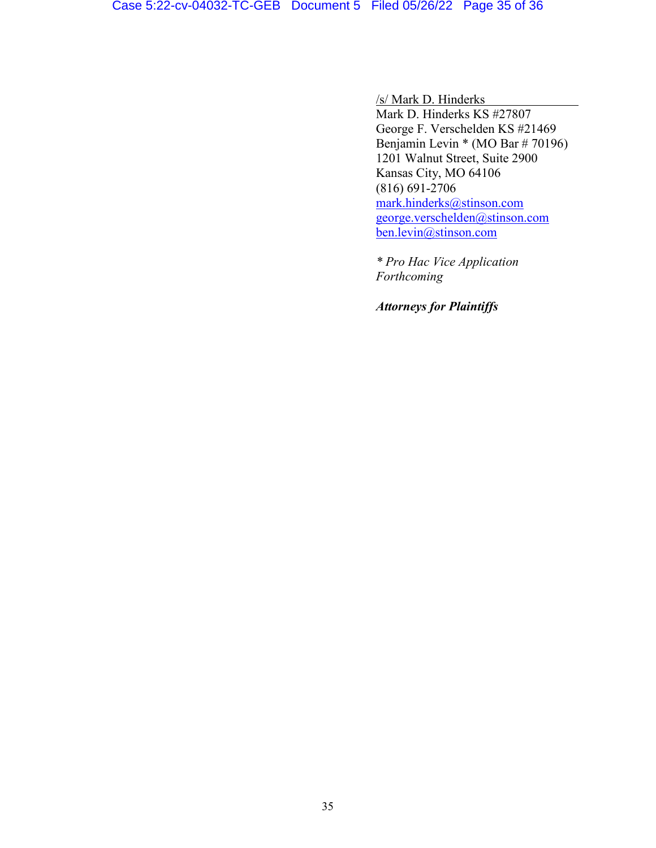/s/ Mark D. Hinderks

Mark D. Hinderks KS #27807 George F. Verschelden KS #21469 Benjamin Levin \* (MO Bar # 70196) 1201 Walnut Street, Suite 2900 Kansas City, MO 64106 (816) 691-2706 [mark.hinderks@stinson.com](mailto:mark.hinderks@stinson.com) [george.verschelden@stinson.com](mailto:george.verschelden@stinson.com) ben.levin@stinson.com

*\* Pro Hac Vice Application Forthcoming*

*Attorneys for Plaintiffs*